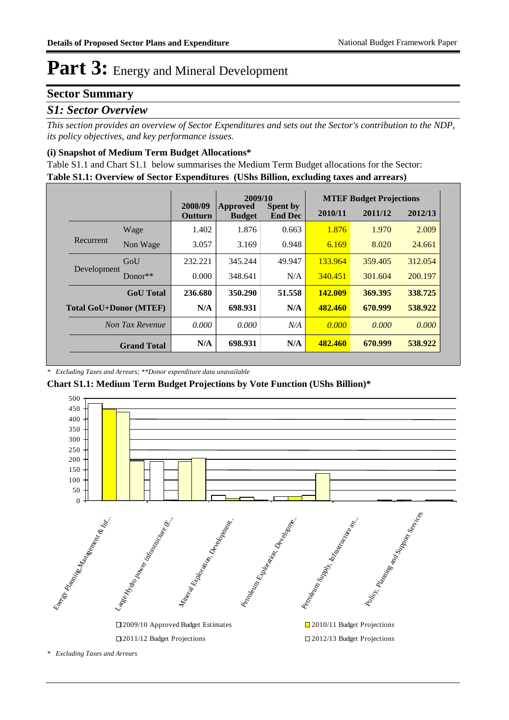### **Sector Summary**

### *S1: Sector Overview*

*This section provides an overview of Sector Expenditures and sets out the Sector's contribution to the NDP, its policy objectives, and key performance issues.* 

#### **(i) Snapshot of Medium Term Budget Allocations\***

**Table S1.1: Overview of Sector Expenditures (UShs Billion, excluding taxes and arrears)** Table S1.1 and Chart S1.1 below summarises the Medium Term Budget allocations for the Sector:

|                               |                  | 2009/10            |                           |                                   | <b>MTEF Budget Projections</b> |         |         |
|-------------------------------|------------------|--------------------|---------------------------|-----------------------------------|--------------------------------|---------|---------|
|                               |                  | 2008/09<br>Outturn | Approved<br><b>Budget</b> | <b>Spent by</b><br><b>End Dec</b> | 2010/11                        | 2011/12 | 2012/13 |
|                               | Wage             | 1.402              | 1.876                     | 0.663                             | 1.876                          | 1.970   | 2.009   |
| Recurrent                     | Non Wage         | 3.057              | 3.169                     | 0.948                             | 6.169                          | 8.020   | 24.661  |
| Development                   | GoU              | 232.221            | 345.244                   | 49.947                            | 133.964                        | 359.405 | 312.054 |
|                               | Donor $**$       | 0.000              | 348.641                   | N/A                               | 340.451                        | 301.604 | 200.197 |
|                               | <b>GoU</b> Total | 236.680            | 350.290                   | 51.558                            | 142.009                        | 369.395 | 338.725 |
| <b>Total GoU+Donor (MTEF)</b> |                  | N/A                | 698.931                   | N/A                               | 482.460                        | 670.999 | 538.922 |
| Non Tax Revenue               |                  | 0.000              | 0.000                     | N/A                               | 0.000                          | 0.000   | 0.000   |
| <b>Grand Total</b>            |                  | N/A                | 698.931                   | N/A                               | 482,460                        | 670.999 | 538.922 |

*\* Excluding Taxes and Arrears; \*\*Donor expenditure data unavailable*

**Chart S1.1: Medium Term Budget Projections by Vote Function (UShs Billion)\***



*<sup>\*</sup> Excluding Taxes and Arrears*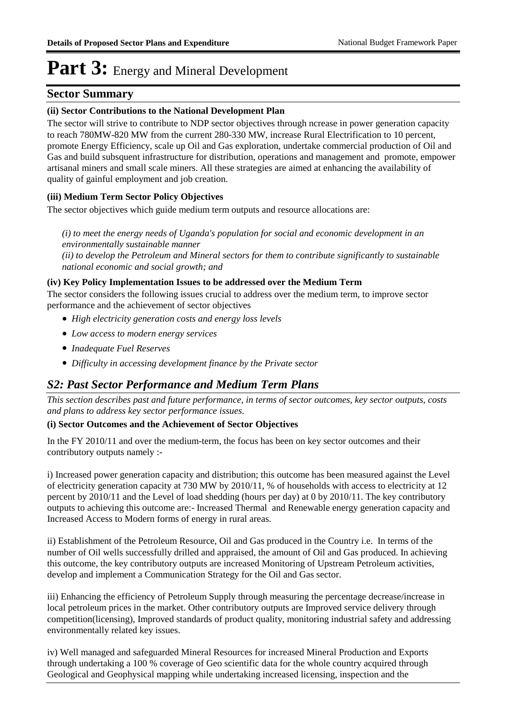### **Sector Summary**

#### **(ii) Sector Contributions to the National Development Plan**

The sector will strive to contribute to NDP sector objectives through ncrease in power generation capacity to reach 780MW-820 MW from the current 280-330 MW, increase Rural Electrification to 10 percent, promote Energy Efficiency, scale up Oil and Gas exploration, undertake commercial production of Oil and Gas and build subsquent infrastructure for distribution, operations and management and promote, empower artisanal miners and small scale miners. All these strategies are aimed at enhancing the availability of quality of gainful employment and job creation.

#### **(iii) Medium Term Sector Policy Objectives**

The sector objectives which guide medium term outputs and resource allocations are:

*(i) to meet the energy needs of Uganda's population for social and economic development in an environmentally sustainable manner (ii) to develop the Petroleum and Mineral sectors for them to contribute significantly to sustainable national economic and social growth; and*

#### **(iv) Key Policy Implementation Issues to be addressed over the Medium Term**

The sector considers the following issues crucial to address over the medium term, to improve sector performance and the achievement of sector objectives

- *High electricity generation costs and energy loss levels*
- *Low access to modern energy services*
- *Inadequate Fuel Reserves*
- *Difficulty in accessing development finance by the Private sector*

### *S2: Past Sector Performance and Medium Term Plans*

*This section describes past and future performance, in terms of sector outcomes, key sector outputs, costs and plans to address key sector performance issues.* 

#### **(i) Sector Outcomes and the Achievement of Sector Objectives**

In the FY 2010/11 and over the medium-term, the focus has been on key sector outcomes and their contributory outputs namely :-

i) Increased power generation capacity and distribution; this outcome has been measured against the Level of electricity generation capacity at 730 MW by 2010/11, % of households with access to electricity at 12 percent by 2010/11 and the Level of load shedding (hours per day) at 0 by 2010/11. The key contributory outputs to achieving this outcome are:- Increased Thermal and Renewable energy generation capacity and Increased Access to Modern forms of energy in rural areas.

ii) Establishment of the Petroleum Resource, Oil and Gas produced in the Country i.e. In terms of the number of Oil wells successfully drilled and appraised, the amount of Oil and Gas produced. In achieving this outcome, the key contributory outputs are increased Monitoring of Upstream Petroleum activities, develop and implement a Communication Strategy for the Oil and Gas sector.

iii) Enhancing the efficiency of Petroleum Supply through measuring the percentage decrease/increase in local petroleum prices in the market. Other contributory outputs are Improved service delivery through competition(licensing), Improved standards of product quality, monitoring industrial safety and addressing environmentally related key issues.

iv) Well managed and safeguarded Mineral Resources for increased Mineral Production and Exports through undertaking a 100 % coverage of Geo scientific data for the whole country acquired through Geological and Geophysical mapping while undertaking increased licensing, inspection and the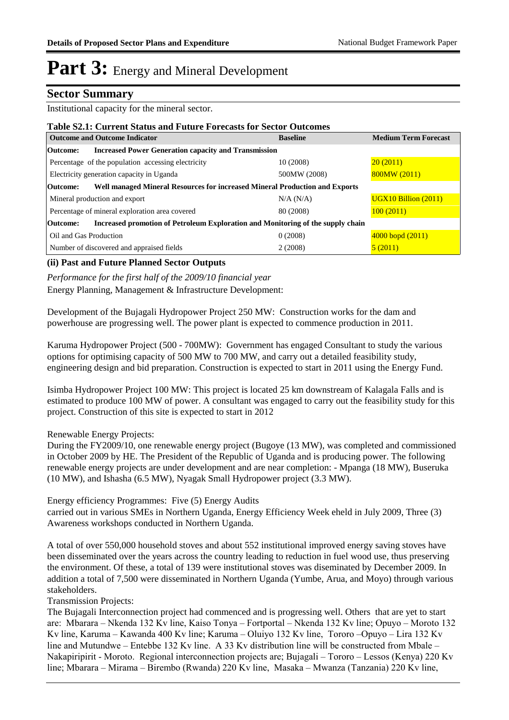### **Sector Summary**

Institutional capacity for the mineral sector.

| <b>Table S2.1: Current Status and Future Forecasts for Sector Outcomes</b>                  |                 |                             |  |  |  |
|---------------------------------------------------------------------------------------------|-----------------|-----------------------------|--|--|--|
| <b>Outcome and Outcome Indicator</b>                                                        | <b>Baseline</b> | <b>Medium Term Forecast</b> |  |  |  |
| <b>Increased Power Generation capacity and Transmission</b><br>Outcome:                     |                 |                             |  |  |  |
| Percentage of the population accessing electricity                                          | 10 (2008)       | 20(2011)                    |  |  |  |
| Electricity generation capacity in Uganda                                                   | 500MW (2008)    | 800MW (2011)                |  |  |  |
| Well managed Mineral Resources for increased Mineral Production and Exports<br>Outcome:     |                 |                             |  |  |  |
| Mineral production and export                                                               | N/A (N/A)       | $UGX10$ Billion $(2011)$    |  |  |  |
| Percentage of mineral exploration area covered                                              | 80 (2008)       | 100(2011)                   |  |  |  |
| Increased promotion of Petroleum Exploration and Monitoring of the supply chain<br>Outcome: |                 |                             |  |  |  |
| Oil and Gas Production                                                                      | 0(2008)         | $4000$ bopd $(2011)$        |  |  |  |
| Number of discovered and appraised fields                                                   | 2(2008)         | 5(2011)                     |  |  |  |

#### **(ii) Past and Future Planned Sector Outputs**

*Performance for the first half of the 2009/10 financial year*

Energy Planning, Management & Infrastructure Development:

Development of the Bujagali Hydropower Project 250 MW: Construction works for the dam and powerhouse are progressing well. The power plant is expected to commence production in 2011.

Karuma Hydropower Project (500 - 700MW): Government has engaged Consultant to study the various options for optimising capacity of 500 MW to 700 MW, and carry out a detailed feasibility study, engineering design and bid preparation. Construction is expected to start in 2011 using the Energy Fund.

Isimba Hydropower Project 100 MW: This project is located 25 km downstream of Kalagala Falls and is estimated to produce 100 MW of power. A consultant was engaged to carry out the feasibility study for this project. Construction of this site is expected to start in 2012

Renewable Energy Projects:

During the FY2009/10, one renewable energy project (Bugoye (13 MW), was completed and commissioned in October 2009 by HE. The President of the Republic of Uganda and is producing power. The following renewable energy projects are under development and are near completion: - Mpanga (18 MW), Buseruka (10 MW), and Ishasha (6.5 MW), Nyagak Small Hydropower project (3.3 MW).

Energy efficiency Programmes: Five (5) Energy Audits carried out in various SMEs in Northern Uganda, Energy Efficiency Week eheld in July 2009, Three (3) Awareness workshops conducted in Northern Uganda.

A total of over 550,000 household stoves and about 552 institutional improved energy saving stoves have been disseminated over the years across the country leading to reduction in fuel wood use, thus preserving the environment. Of these, a total of 139 were institutional stoves was diseminated by December 2009. In addition a total of 7,500 were disseminated in Northern Uganda (Yumbe, Arua, and Moyo) through various stakeholders.

Transmission Projects:

The Bujagali Interconnection project had commenced and is progressing well. Others that are yet to start are: Mbarara – Nkenda 132 Kv line, Kaiso Tonya – Fortportal – Nkenda 132 Kv line; Opuyo – Moroto 132 Kv line, Karuma – Kawanda 400 Kv line; Karuma – Oluiyo 132 Kv line, Tororo –Opuyo – Lira 132 Kv line and Mutundwe – Entebbe 132 Kv line. A 33 Kv distribution line will be constructed from Mbale – Nakapiripirit - Moroto. Regional interconnection projects are; Bujagali – Tororo – Lessos (Kenya) 220 Kv line; Mbarara – Mirama – Birembo (Rwanda) 220 Kv line, Masaka – Mwanza (Tanzania) 220 Kv line,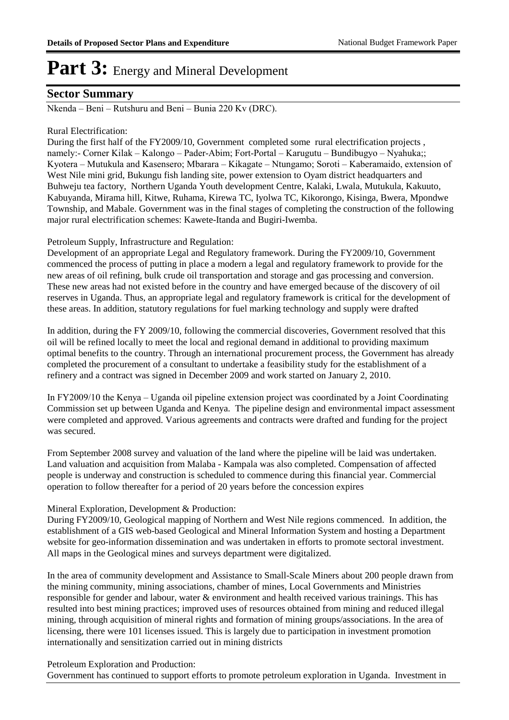### **Sector Summary**

Nkenda – Beni – Rutshuru and Beni – Bunia 220 Kv (DRC).

#### Rural Electrification:

During the first half of the FY2009/10, Government completed some rural electrification projects , namely:- Corner Kilak – Kalongo – Pader-Abim; Fort-Portal – Karugutu – Bundibugyo – Nyahuka;; Kyotera – Mutukula and Kasensero; Mbarara – Kikagate – Ntungamo; Soroti – Kaberamaido, extension of West Nile mini grid, Bukungu fish landing site, power extension to Oyam district headquarters and Buhweju tea factory, Northern Uganda Youth development Centre, Kalaki, Lwala, Mutukula, Kakuuto, Kabuyanda, Mirama hill, Kitwe, Ruhama, Kirewa TC, Iyolwa TC, Kikorongo, Kisinga, Bwera, Mpondwe Township, and Mabale. Government was in the final stages of completing the construction of the following major rural electrification schemes: Kawete-Itanda and Bugiri-Iwemba.

#### Petroleum Supply, Infrastructure and Regulation:

Development of an appropriate Legal and Regulatory framework. During the FY2009/10, Government commenced the process of putting in place a modern a legal and regulatory framework to provide for the new areas of oil refining, bulk crude oil transportation and storage and gas processing and conversion. These new areas had not existed before in the country and have emerged because of the discovery of oil reserves in Uganda. Thus, an appropriate legal and regulatory framework is critical for the development of these areas. In addition, statutory regulations for fuel marking technology and supply were drafted

In addition, during the FY 2009/10, following the commercial discoveries, Government resolved that this oil will be refined locally to meet the local and regional demand in additional to providing maximum optimal benefits to the country. Through an international procurement process, the Government has already completed the procurement of a consultant to undertake a feasibility study for the establishment of a refinery and a contract was signed in December 2009 and work started on January 2, 2010.

In FY2009/10 the Kenya – Uganda oil pipeline extension project was coordinated by a Joint Coordinating Commission set up between Uganda and Kenya. The pipeline design and environmental impact assessment were completed and approved. Various agreements and contracts were drafted and funding for the project was secured.

From September 2008 survey and valuation of the land where the pipeline will be laid was undertaken. Land valuation and acquisition from Malaba - Kampala was also completed. Compensation of affected people is underway and construction is scheduled to commence during this financial year. Commercial operation to follow thereafter for a period of 20 years before the concession expires

#### Mineral Exploration, Development & Production:

During FY2009/10, Geological mapping of Northern and West Nile regions commenced. In addition, the establishment of a GIS web-based Geological and Mineral Information System and hosting a Department website for geo-information dissemination and was undertaken in efforts to promote sectoral investment. All maps in the Geological mines and surveys department were digitalized.

In the area of community development and Assistance to Small-Scale Miners about 200 people drawn from the mining community, mining associations, chamber of mines, Local Governments and Ministries responsible for gender and labour, water & environment and health received various trainings. This has resulted into best mining practices; improved uses of resources obtained from mining and reduced illegal mining, through acquisition of mineral rights and formation of mining groups/associations. In the area of licensing, there were 101 licenses issued. This is largely due to participation in investment promotion internationally and sensitization carried out in mining districts

Petroleum Exploration and Production:

Government has continued to support efforts to promote petroleum exploration in Uganda. Investment in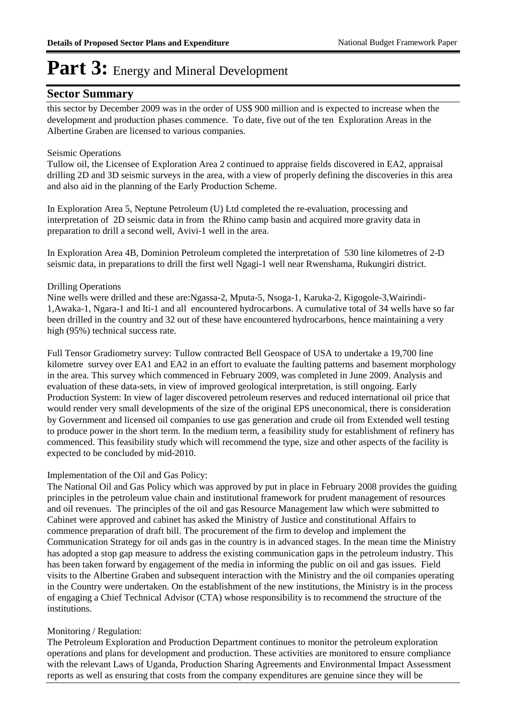### **Sector Summary**

this sector by December 2009 was in the order of US\$ 900 million and is expected to increase when the development and production phases commence. To date, five out of the ten Exploration Areas in the Albertine Graben are licensed to various companies.

#### Seismic Operations

Tullow oil, the Licensee of Exploration Area 2 continued to appraise fields discovered in EA2, appraisal drilling 2D and 3D seismic surveys in the area, with a view of properly defining the discoveries in this area and also aid in the planning of the Early Production Scheme.

In Exploration Area 5, Neptune Petroleum (U) Ltd completed the re-evaluation, processing and interpretation of 2D seismic data in from the Rhino camp basin and acquired more gravity data in preparation to drill a second well, Avivi-1 well in the area.

In Exploration Area 4B, Dominion Petroleum completed the interpretation of 530 line kilometres of 2-D seismic data, in preparations to drill the first well Ngagi-1 well near Rwenshama, Rukungiri district.

#### Drilling Operations

Nine wells were drilled and these are:Ngassa-2, Mputa-5, Nsoga-1, Karuka-2, Kigogole-3,Wairindi-1,Awaka-1, Ngara-1 and Iti-1 and all encountered hydrocarbons. A cumulative total of 34 wells have so far been drilled in the country and 32 out of these have encountered hydrocarbons, hence maintaining a very high (95%) technical success rate.

Full Tensor Gradiometry survey: Tullow contracted Bell Geospace of USA to undertake a 19,700 line kilometre survey over EA1 and EA2 in an effort to evaluate the faulting patterns and basement morphology in the area. This survey which commenced in February 2009, was completed in June 2009. Analysis and evaluation of these data-sets, in view of improved geological interpretation, is still ongoing. Early Production System: In view of lager discovered petroleum reserves and reduced international oil price that would render very small developments of the size of the original EPS uneconomical, there is consideration by Government and licensed oil companies to use gas generation and crude oil from Extended well testing to produce power in the short term. In the medium term, a feasibility study for establishment of refinery has commenced. This feasibility study which will recommend the type, size and other aspects of the facility is expected to be concluded by mid-2010.

#### Implementation of the Oil and Gas Policy:

The National Oil and Gas Policy which was approved by put in place in February 2008 provides the guiding principles in the petroleum value chain and institutional framework for prudent management of resources and oil revenues. The principles of the oil and gas Resource Management law which were submitted to Cabinet were approved and cabinet has asked the Ministry of Justice and constitutional Affairs to commence preparation of draft bill. The procurement of the firm to develop and implement the Communication Strategy for oil ands gas in the country is in advanced stages. In the mean time the Ministry has adopted a stop gap measure to address the existing communication gaps in the petroleum industry. This has been taken forward by engagement of the media in informing the public on oil and gas issues. Field visits to the Albertine Graben and subsequent interaction with the Ministry and the oil companies operating in the Country were undertaken. On the establishment of the new institutions, the Ministry is in the process of engaging a Chief Technical Advisor (CTA) whose responsibility is to recommend the structure of the institutions.

#### Monitoring / Regulation:

The Petroleum Exploration and Production Department continues to monitor the petroleum exploration operations and plans for development and production. These activities are monitored to ensure compliance with the relevant Laws of Uganda, Production Sharing Agreements and Environmental Impact Assessment reports as well as ensuring that costs from the company expenditures are genuine since they will be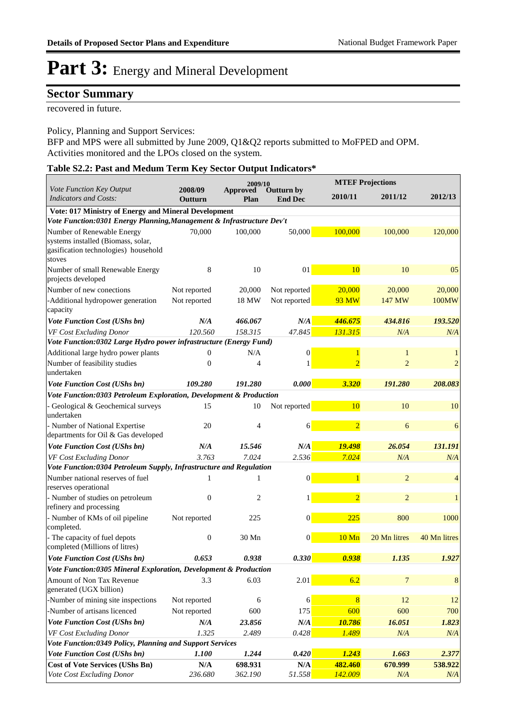### **Sector Summary**

recovered in future.

Policy, Planning and Support Services:

BFP and MPS were all submitted by June 2009, Q1&Q2 reports submitted to MoFPED and OPM. Activities monitored and the LPOs closed on the system.

| Table S2.2: Past and Medum Term Key Sector Output Indicators* |
|---------------------------------------------------------------|
|---------------------------------------------------------------|

|                                                                                      |                         | 2009/10          |                                     |                | <b>MTEF Projections</b> |              |  |
|--------------------------------------------------------------------------------------|-------------------------|------------------|-------------------------------------|----------------|-------------------------|--------------|--|
| Vote Function Key Output<br><b>Indicators and Costs:</b>                             | 2008/09<br>Outturn      | Approved<br>Plan | <b>Outturn by</b><br><b>End Dec</b> | 2010/11        | 2011/12                 | 2012/13      |  |
| Vote: 017 Ministry of Energy and Mineral Development                                 |                         |                  |                                     |                |                         |              |  |
| Vote Function:0301 Energy Planning, Management & Infrastructure Dev't                |                         |                  |                                     |                |                         |              |  |
| Number of Renewable Energy                                                           | 70,000                  | 100,000          | 50,000                              | 100,000        | 100,000                 | 120,000      |  |
| systems installed (Biomass, solar,<br>gasification technologies) household<br>stoves |                         |                  |                                     |                |                         |              |  |
| Number of small Renewable Energy                                                     | 8                       | 10               | 01                                  | 10             | 10                      | 05           |  |
| projects developed                                                                   |                         |                  |                                     |                |                         |              |  |
| Number of new conections                                                             | Not reported            | 20,000           | Not reported                        | 20,000         | 20,000                  | 20,000       |  |
| -Additional hydropower generation<br>capacity                                        | Not reported            | 18 MW            | Not reported                        | <b>93 MW</b>   | 147 MW                  | 100MW        |  |
| Vote Function Cost (UShs bn)                                                         | N/A                     | 466.067          | N/A                                 | 446.675        | 434.816                 | 193.520      |  |
| VF Cost Excluding Donor                                                              | 120.560                 | 158.315          | 47.845                              | 131.315        | N/A                     | N/A          |  |
| Vote Function:0302 Large Hydro power infrastructure (Energy Fund)                    |                         |                  |                                     |                |                         |              |  |
| Additional large hydro power plants                                                  | $\overline{0}$          | N/A              | 0                                   | $\mathbf{1}$   | 1                       |              |  |
| Number of feasibility studies<br>undertaken                                          | 0                       | 4                | 1                                   | $\overline{2}$ | $\overline{2}$          | 2            |  |
| Vote Function Cost (UShs bn)                                                         | 109.280                 | 191.280          | 0.000                               | 3.320          | 191.280                 | 208.083      |  |
| Vote Function:0303 Petroleum Exploration, Development & Production                   |                         |                  |                                     |                |                         |              |  |
| Geological & Geochemical surveys<br>undertaken                                       | 15                      | 10               | Not reported                        | 10             | 10                      | 10           |  |
| - Number of National Expertise<br>departments for Oil & Gas developed                | 20                      | 4                | 6                                   | $\overline{2}$ | 6                       | 6            |  |
| Vote Function Cost (UShs bn)                                                         | N/A                     | 15.546           | N/A                                 | 19.498         | 26.054                  | 131.191      |  |
| VF Cost Excluding Donor                                                              | 3.763                   | 7.024            | 2.536                               | 7.024          | N/A                     | N/A          |  |
| Vote Function:0304 Petroleum Supply, Infrastructure and Regulation                   |                         |                  |                                     |                |                         |              |  |
| Number national reserves of fuel<br>reserves operational                             | 1                       | 1                | 0                                   | $\mathbf{1}$   | $\overline{2}$          | 4            |  |
| - Number of studies on petroleum<br>refinery and processing                          | $\overline{0}$          | 2                | 1                                   | $\overline{2}$ | $\overline{2}$          | 1            |  |
| - Number of KMs of oil pipeline<br>completed.                                        | Not reported            | 225              | $\overline{0}$                      | 225            | 800                     | 1000         |  |
| The capacity of fuel depots<br>completed (Millions of litres)                        | $\boldsymbol{0}$        | 30 Mn            | 0                                   | 10 Mn          | 20 Mn litres            | 40 Mn litres |  |
| Vote Function Cost (UShs bn)                                                         | 0.653                   | 0.938            | 0.330                               | 0.938          | 1.135                   | 1.927        |  |
| Vote Function:0305 Mineral Exploration, Development & Production                     |                         |                  |                                     |                |                         |              |  |
| Amount of Non Tax Revenue<br>generated (UGX billion)                                 | 3.3                     | 6.03             | 2.01                                | 6.2            | 7                       | 8            |  |
| -Number of mining site inspections                                                   | Not reported            | 6                | 6                                   | 8              | 12                      | 12           |  |
| -Number of artisans licenced                                                         | Not reported            | 600              | 175                                 | 600            | 600                     | 700          |  |
| <b>Vote Function Cost (UShs bn)</b>                                                  | N/A                     | 23.856           | $N\!/\!A$                           | 10.786         | 16.051                  | 1.823        |  |
| VF Cost Excluding Donor                                                              | 1.325                   | 2.489            | 0.428                               | 1.489          | N/A                     | N/A          |  |
| Vote Function:0349 Policy, Planning and Support Services                             |                         |                  |                                     |                |                         |              |  |
| Vote Function Cost (UShs bn)                                                         | 1.100                   | 1.244            | 0.420                               | 1.243          | 1.663                   | 2.377        |  |
| <b>Cost of Vote Services (UShs Bn)</b>                                               | $\mathbf{N}/\mathbf{A}$ | 698.931          | N/A                                 | 482.460        | 670.999                 | 538.922      |  |
| Vote Cost Excluding Donor                                                            | 236.680                 | 362.190          | 51.558                              | 142.009        | N/A                     | N/A          |  |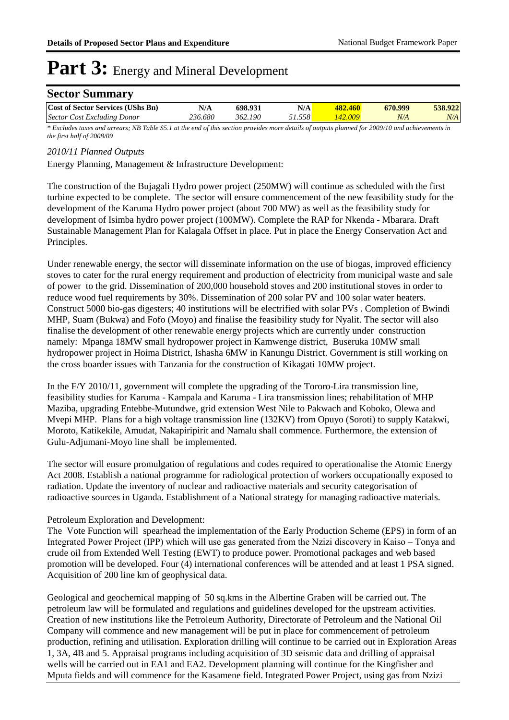| <b>Sector Summary</b>                    |         |         |        |         |         |         |
|------------------------------------------|---------|---------|--------|---------|---------|---------|
| <b>Cost of Sector Services (UShs Bn)</b> | N/A     | 698.931 | N/A    | 482.460 | 670.999 | 538.922 |
| Sector Cost Excluding Donor              | 236.680 | 362.190 | 51.558 | 142.009 | N/A     | N/A     |

*\* Excludes taxes and arrears; NB Table S5.1 at the end of this section provides more details of outputs planned for 2009/10 and achievements in the first half of 2008/09*

#### *2010/11 Planned Outputs*

Energy Planning, Management & Infrastructure Development:

The construction of the Bujagali Hydro power project (250MW) will continue as scheduled with the first turbine expected to be complete. The sector will ensure commencement of the new feasibility study for the development of the Karuma Hydro power project (about 700 MW) as well as the feasibility study for development of Isimba hydro power project (100MW). Complete the RAP for Nkenda - Mbarara. Draft Sustainable Management Plan for Kalagala Offset in place. Put in place the Energy Conservation Act and Principles.

Under renewable energy, the sector will disseminate information on the use of biogas, improved efficiency stoves to cater for the rural energy requirement and production of electricity from municipal waste and sale of power to the grid. Dissemination of 200,000 household stoves and 200 institutional stoves in order to reduce wood fuel requirements by 30%. Dissemination of 200 solar PV and 100 solar water heaters. Construct 5000 bio-gas digesters; 40 institutions will be electrified with solar PVs . Completion of Bwindi MHP, Suam (Bukwa) and Fofo (Moyo) and finalise the feasibility study for Nyalit. The sector will also finalise the development of other renewable energy projects which are currently under construction namely: Mpanga 18MW small hydropower project in Kamwenge district, Buseruka 10MW small hydropower project in Hoima District, Ishasha 6MW in Kanungu District. Government is still working on the cross boarder issues with Tanzania for the construction of Kikagati 10MW project.

In the F/Y 2010/11, government will complete the upgrading of the Tororo-Lira transmission line, feasibility studies for Karuma - Kampala and Karuma - Lira transmission lines; rehabilitation of MHP Maziba, upgrading Entebbe-Mutundwe, grid extension West Nile to Pakwach and Koboko, Olewa and Mvepi MHP. Plans for a high voltage transmission line (132KV) from Opuyo (Soroti) to supply Katakwi, Moroto, Katikekile, Amudat, Nakapiripirit and Namalu shall commence. Furthermore, the extension of Gulu-Adjumani-Moyo line shall be implemented.

The sector will ensure promulgation of regulations and codes required to operationalise the Atomic Energy Act 2008. Establish a national programme for radiological protection of workers occupationally exposed to radiation. Update the inventory of nuclear and radioactive materials and security categorisation of radioactive sources in Uganda. Establishment of a National strategy for managing radioactive materials.

#### Petroleum Exploration and Development:

The Vote Function will spearhead the implementation of the Early Production Scheme (EPS) in form of an Integrated Power Project (IPP) which will use gas generated from the Nzizi discovery in Kaiso – Tonya and crude oil from Extended Well Testing (EWT) to produce power. Promotional packages and web based promotion will be developed. Four (4) international conferences will be attended and at least 1 PSA signed. Acquisition of 200 line km of geophysical data.

Geological and geochemical mapping of 50 sq.kms in the Albertine Graben will be carried out. The petroleum law will be formulated and regulations and guidelines developed for the upstream activities. Creation of new institutions like the Petroleum Authority, Directorate of Petroleum and the National Oil Company will commence and new management will be put in place for commencement of petroleum production, refining and utilisation. Exploration drilling will continue to be carried out in Exploration Areas 1, 3A, 4B and 5. Appraisal programs including acquisition of 3D seismic data and drilling of appraisal wells will be carried out in EA1 and EA2. Development planning will continue for the Kingfisher and Mputa fields and will commence for the Kasamene field. Integrated Power Project, using gas from Nzizi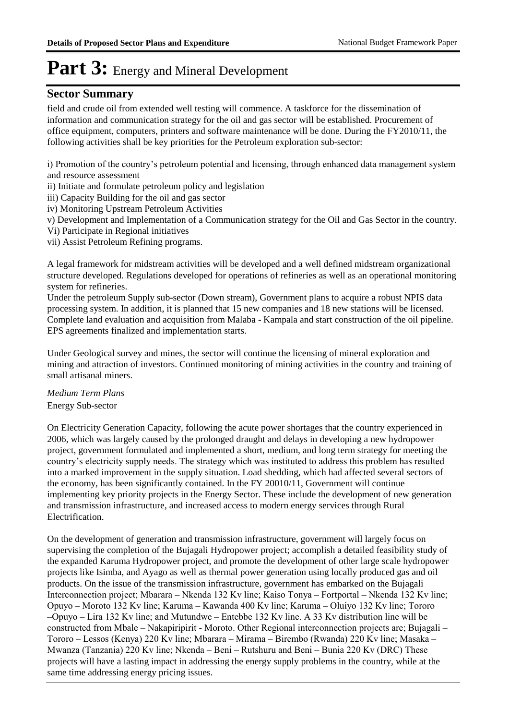### **Sector Summary**

field and crude oil from extended well testing will commence. A taskforce for the dissemination of information and communication strategy for the oil and gas sector will be established. Procurement of office equipment, computers, printers and software maintenance will be done. During the FY2010/11, the following activities shall be key priorities for the Petroleum exploration sub-sector:

i) Promotion of the country's petroleum potential and licensing, through enhanced data management system and resource assessment

ii) Initiate and formulate petroleum policy and legislation

iii) Capacity Building for the oil and gas sector

iv) Monitoring Upstream Petroleum Activities

v) Development and Implementation of a Communication strategy for the Oil and Gas Sector in the country.

Vi) Participate in Regional initiatives

vii) Assist Petroleum Refining programs.

A legal framework for midstream activities will be developed and a well defined midstream organizational structure developed. Regulations developed for operations of refineries as well as an operational monitoring system for refineries.

Under the petroleum Supply sub-sector (Down stream), Government plans to acquire a robust NPIS data processing system. In addition, it is planned that 15 new companies and 18 new stations will be licensed. Complete land evaluation and acquisition from Malaba - Kampala and start construction of the oil pipeline. EPS agreements finalized and implementation starts.

Under Geological survey and mines, the sector will continue the licensing of mineral exploration and mining and attraction of investors. Continued monitoring of mining activities in the country and training of small artisanal miners.

#### Energy Sub-sector *Medium Term Plans*

On Electricity Generation Capacity, following the acute power shortages that the country experienced in 2006, which was largely caused by the prolonged draught and delays in developing a new hydropower project, government formulated and implemented a short, medium, and long term strategy for meeting the country's electricity supply needs. The strategy which was instituted to address this problem has resulted into a marked improvement in the supply situation. Load shedding, which had affected several sectors of the economy, has been significantly contained. In the FY 20010/11, Government will continue implementing key priority projects in the Energy Sector. These include the development of new generation and transmission infrastructure, and increased access to modern energy services through Rural Electrification.

On the development of generation and transmission infrastructure, government will largely focus on supervising the completion of the Bujagali Hydropower project; accomplish a detailed feasibility study of the expanded Karuma Hydropower project, and promote the development of other large scale hydropower projects like Isimba, and Ayago as well as thermal power generation using locally produced gas and oil products. On the issue of the transmission infrastructure, government has embarked on the Bujagali Interconnection project; Mbarara – Nkenda 132 Kv line; Kaiso Tonya – Fortportal – Nkenda 132 Kv line; Opuyo – Moroto 132 Kv line; Karuma – Kawanda 400 Kv line; Karuma – Oluiyo 132 Kv line; Tororo –Opuyo – Lira 132 Kv line; and Mutundwe – Entebbe 132 Kv line. A 33 Kv distribution line will be constructed from Mbale – Nakapiripirit - Moroto. Other Regional interconnection projects are; Bujagali – Tororo – Lessos (Kenya) 220 Kv line; Mbarara – Mirama – Birembo (Rwanda) 220 Kv line; Masaka – Mwanza (Tanzania) 220 Kv line; Nkenda – Beni – Rutshuru and Beni – Bunia 220 Kv (DRC) These projects will have a lasting impact in addressing the energy supply problems in the country, while at the same time addressing energy pricing issues.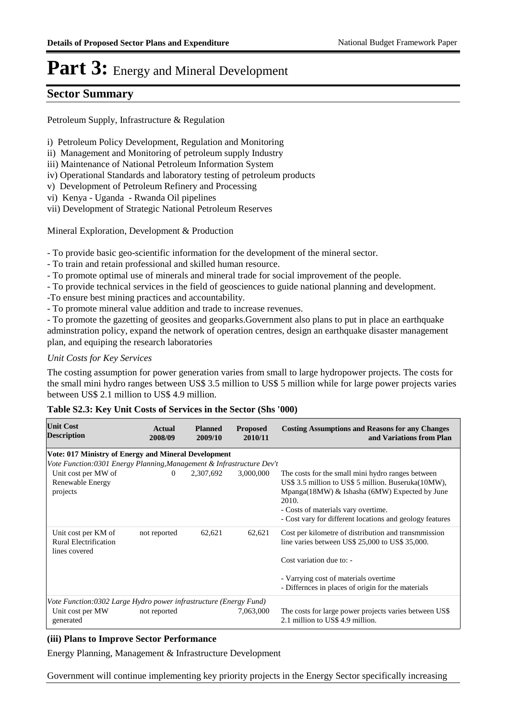### **Sector Summary**

Petroleum Supply, Infrastructure & Regulation

- i) Petroleum Policy Development, Regulation and Monitoring
- ii) Management and Monitoring of petroleum supply Industry
- iii) Maintenance of National Petroleum Information System
- iv) Operational Standards and laboratory testing of petroleum products
- v) Development of Petroleum Refinery and Processing
- vi) Kenya Uganda Rwanda Oil pipelines
- vii) Development of Strategic National Petroleum Reserves

Mineral Exploration, Development & Production

- To provide basic geo-scientific information for the development of the mineral sector.

- To train and retain professional and skilled human resource.
- To promote optimal use of minerals and mineral trade for social improvement of the people.
- To provide technical services in the field of geosciences to guide national planning and development.
- -To ensure best mining practices and accountability.
- To promote mineral value addition and trade to increase revenues.

- To promote the gazetting of geosites and geoparks.Government also plans to put in place an earthquake adminstration policy, expand the network of operation centres, design an earthquake disaster management plan, and equiping the research laboratories

#### *Unit Costs for Key Services*

The costing assumption for power generation varies from small to large hydropower projects. The costs for the small mini hydro ranges between US\$ 3.5 million to US\$ 5 million while for large power projects varies between US\$ 2.1 million to US\$ 4.9 million.

#### **Table S2.3: Key Unit Costs of Services in the Sector (Shs '000)**

| <b>Unit Cost</b><br><b>Description</b>                                                             | Actual<br>2008/09 | <b>Planned</b><br>2009/10 | <b>Proposed</b><br>2010/11 | <b>Costing Assumptions and Reasons for any Changes</b><br>and Variations from Plan                                                                                                                                                                                    |
|----------------------------------------------------------------------------------------------------|-------------------|---------------------------|----------------------------|-----------------------------------------------------------------------------------------------------------------------------------------------------------------------------------------------------------------------------------------------------------------------|
| Vote: 017 Ministry of Energy and Mineral Development                                               |                   |                           |                            |                                                                                                                                                                                                                                                                       |
| Vote Function:0301 Energy Planning, Management & Infrastructure Dev't                              |                   |                           |                            |                                                                                                                                                                                                                                                                       |
| Unit cost per MW of<br>Renewable Energy<br>projects                                                | $\Omega$          | 2,307,692                 | 3,000,000                  | The costs for the small mini hydro ranges between<br>US\$ 3.5 million to US\$ 5 million. Buseruka(10MW),<br>Mpanga(18MW) & Ishasha (6MW) Expected by June<br>2010.<br>- Costs of materials vary overtime.<br>- Cost vary for different locations and geology features |
| Unit cost per KM of<br><b>Rural Electrification</b><br>lines covered                               | not reported      | 62,621                    | 62,621                     | Cost per kilometre of distribution and transmitesion<br>line varies between US\$ 25,000 to US\$ 35,000.<br>Cost variation due to: -<br>- Varrying cost of materials overtime<br>- Differnces in places of origin for the materials                                    |
| Vote Function:0302 Large Hydro power infrastructure (Energy Fund)<br>Unit cost per MW<br>generated | not reported      |                           | 7,063,000                  | The costs for large power projects varies between US\$<br>2.1 million to US\$ 4.9 million.                                                                                                                                                                            |

#### **(iii) Plans to Improve Sector Performance**

Energy Planning, Management & Infrastructure Development

Government will continue implementing key priority projects in the Energy Sector specifically increasing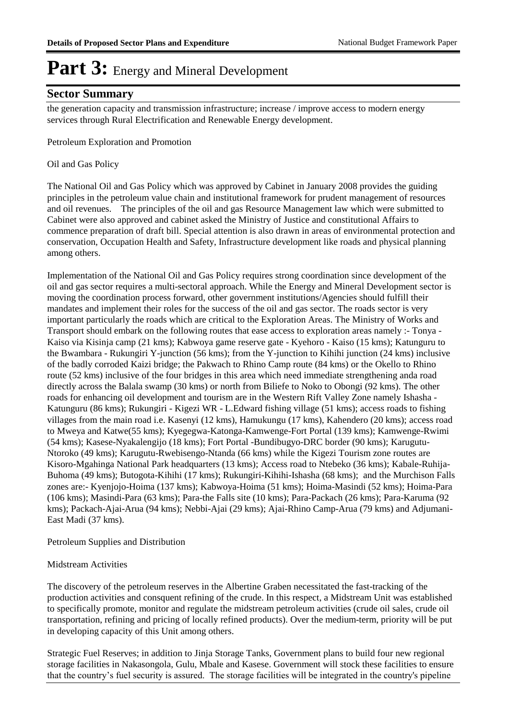### **Sector Summary**

the generation capacity and transmission infrastructure; increase / improve access to modern energy services through Rural Electrification and Renewable Energy development.

Petroleum Exploration and Promotion

#### Oil and Gas Policy

The National Oil and Gas Policy which was approved by Cabinet in January 2008 provides the guiding principles in the petroleum value chain and institutional framework for prudent management of resources and oil revenues. The principles of the oil and gas Resource Management law which were submitted to Cabinet were also approved and cabinet asked the Ministry of Justice and constitutional Affairs to commence preparation of draft bill. Special attention is also drawn in areas of environmental protection and conservation, Occupation Health and Safety, Infrastructure development like roads and physical planning among others.

Implementation of the National Oil and Gas Policy requires strong coordination since development of the oil and gas sector requires a multi-sectoral approach. While the Energy and Mineral Development sector is moving the coordination process forward, other government institutions/Agencies should fulfill their mandates and implement their roles for the success of the oil and gas sector. The roads sector is very important particularly the roads which are critical to the Exploration Areas. The Ministry of Works and Transport should embark on the following routes that ease access to exploration areas namely :- Tonya - Kaiso via Kisinja camp (21 kms); Kabwoya game reserve gate - Kyehoro - Kaiso (15 kms); Katunguru to the Bwambara - Rukungiri Y-junction (56 kms); from the Y-junction to Kihihi junction (24 kms) inclusive of the badly corroded Kaizi bridge; the Pakwach to Rhino Camp route (84 kms) or the Okello to Rhino route (52 kms) inclusive of the four bridges in this area which need immediate strengthening anda road directly across the Balala swamp (30 kms) or north from Biliefe to Noko to Obongi (92 kms). The other roads for enhancing oil development and tourism are in the Western Rift Valley Zone namely Ishasha -Katunguru (86 kms); Rukungiri - Kigezi WR - L.Edward fishing village (51 kms); access roads to fishing villages from the main road i.e. Kasenyi (12 kms), Hamukungu (17 kms), Kahendero (20 kms); access road to Mweya and Katwe(55 kms); Kyegegwa-Katonga-Kamwenge-Fort Portal (139 kms); Kamwenge-Rwimi (54 kms); Kasese-Nyakalengijo (18 kms); Fort Portal -Bundibugyo-DRC border (90 kms); Karugutu-Ntoroko (49 kms); Karugutu-Rwebisengo-Ntanda (66 kms) while the Kigezi Tourism zone routes are Kisoro-Mgahinga National Park headquarters (13 kms); Access road to Ntebeko (36 kms); Kabale-Ruhija-Buhoma (49 kms); Butogota-Kihihi (17 kms); Rukungiri-Kihihi-Ishasha (68 kms); and the Murchison Falls zones are:- Kyenjojo-Hoima (137 kms); Kabwoya-Hoima (51 kms); Hoima-Masindi (52 kms); Hoima-Para (106 kms); Masindi-Para (63 kms); Para-the Falls site (10 kms); Para-Packach (26 kms); Para-Karuma (92 kms); Packach-Ajai-Arua (94 kms); Nebbi-Ajai (29 kms); Ajai-Rhino Camp-Arua (79 kms) and Adjumani-East Madi (37 kms).

Petroleum Supplies and Distribution

#### Midstream Activities

The discovery of the petroleum reserves in the Albertine Graben necessitated the fast-tracking of the production activities and consquent refining of the crude. In this respect, a Midstream Unit was established to specifically promote, monitor and regulate the midstream petroleum activities (crude oil sales, crude oil transportation, refining and pricing of locally refined products). Over the medium-term, priority will be put in developing capacity of this Unit among others.

Strategic Fuel Reserves; in addition to Jinja Storage Tanks, Government plans to build four new regional storage facilities in Nakasongola, Gulu, Mbale and Kasese. Government will stock these facilities to ensure that the country's fuel security is assured. The storage facilities will be integrated in the country's pipeline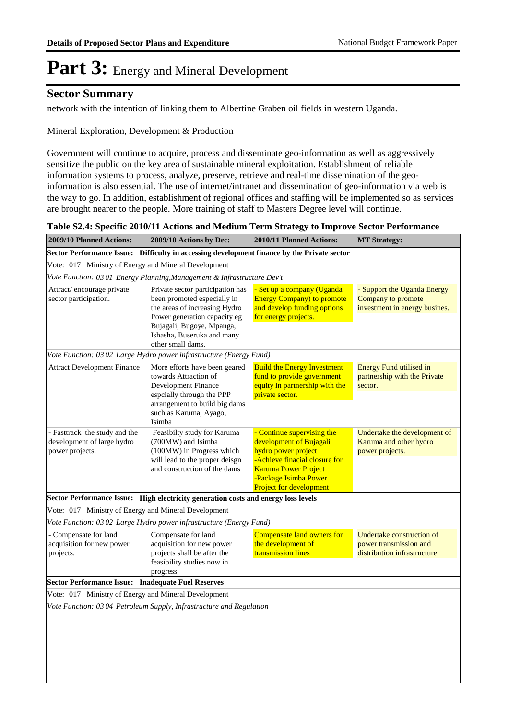### **Sector Summary**

network with the intention of linking them to Albertine Graben oil fields in western Uganda.

Mineral Exploration, Development & Production

Government will continue to acquire, process and disseminate geo-information as well as aggressively sensitize the public on the key area of sustainable mineral exploitation. Establishment of reliable information systems to process, analyze, preserve, retrieve and real-time dissemination of the geoinformation is also essential. The use of internet/intranet and dissemination of geo-information via web is the way to go. In addition, establishment of regional offices and staffing will be implemented so as services are brought nearer to the people. More training of staff to Masters Degree level will continue.

|                                             | Table S2.4: Specific 2010/11 Actions and Medium Term Strategy to Improve Sector Performance |                           |             |
|---------------------------------------------|---------------------------------------------------------------------------------------------|---------------------------|-------------|
| $2000/10 \text{ Dlonged } A_{\text{other}}$ | $2000/10$ A of ang br Dege                                                                  | $2010/11$ Dlamed Astiance | $MTC$ $\mu$ |

| 400 <i>7/</i> IV I IAIIIICU AUUUID.                                            | $\mu$ ov $\nu$ lu Aluons dy Del                                                                                                                                                                                  | 2010/11 I Idillicu Actions.                                                                                                                                                                             | $M1$ ou alogy.                                                                     |
|--------------------------------------------------------------------------------|------------------------------------------------------------------------------------------------------------------------------------------------------------------------------------------------------------------|---------------------------------------------------------------------------------------------------------------------------------------------------------------------------------------------------------|------------------------------------------------------------------------------------|
|                                                                                | Sector Performance Issue: Difficulty in accessing development finance by the Private sector                                                                                                                      |                                                                                                                                                                                                         |                                                                                    |
| Vote: 017 Ministry of Energy and Mineral Development                           |                                                                                                                                                                                                                  |                                                                                                                                                                                                         |                                                                                    |
|                                                                                | Vote Function: 03 01 Energy Planning, Management & Infrastructure Dev't                                                                                                                                          |                                                                                                                                                                                                         |                                                                                    |
| Attract/encourage private<br>sector participation.                             | Private sector participation has<br>been promoted especially in<br>the areas of increasing Hydro<br>Power generation capacity eg<br>Bujagali, Bugoye, Mpanga,<br>Ishasha, Buseruka and many<br>other small dams. | - Set up a company (Uganda<br><b>Energy Company) to promote</b><br>and develop funding options<br>for energy projects.                                                                                  | - Support the Uganda Energy<br>Company to promote<br>investment in energy busines. |
|                                                                                | Vote Function: 03 02 Large Hydro power infrastructure (Energy Fund)                                                                                                                                              |                                                                                                                                                                                                         |                                                                                    |
| <b>Attract Development Finance</b>                                             | More efforts have been geared<br>towards Attraction of<br>Development Finance<br>espcially through the PPP<br>arrangement to build big dams<br>such as Karuma, Ayago,<br>Isimba                                  | <b>Build the Energy Investment</b><br>fund to provide government<br>equity in partnership with the<br>private sector.                                                                                   | <b>Energy Fund utilised in</b><br>partnership with the Private<br>sector.          |
| - Fasttrack the study and the<br>development of large hydro<br>power projects. | Feasibilty study for Karuma<br>(700MW) and Isimba<br>(100MW) in Progress which<br>will lead to the proper deisgn<br>and construction of the dams                                                                 | - Continue supervising the<br>development of Bujagali<br>hydro power project<br>-Achieve finacial closure for<br><b>Karuma Power Project</b><br>-Package Isimba Power<br><b>Project for development</b> | Undertake the development of<br>Karuma and other hydro<br>power projects.          |
|                                                                                | Sector Performance Issue: High electricity generation costs and energy loss levels                                                                                                                               |                                                                                                                                                                                                         |                                                                                    |
| Vote: 017 Ministry of Energy and Mineral Development                           |                                                                                                                                                                                                                  |                                                                                                                                                                                                         |                                                                                    |
|                                                                                | Vote Function: 03 02 Large Hydro power infrastructure (Energy Fund)                                                                                                                                              |                                                                                                                                                                                                         |                                                                                    |
| - Compensate for land<br>acquisition for new power<br>projects.                | Compensate for land<br>acquisition for new power<br>projects shall be after the<br>feasibility studies now in<br>progress.                                                                                       | Compensate land owners for<br>the development of<br>transmission lines                                                                                                                                  | Undertake construction of<br>power transmission and<br>distribution infrastructure |
| Sector Performance Issue: Inadequate Fuel Reserves                             |                                                                                                                                                                                                                  |                                                                                                                                                                                                         |                                                                                    |
| Vote: 017 Ministry of Energy and Mineral Development                           |                                                                                                                                                                                                                  |                                                                                                                                                                                                         |                                                                                    |
|                                                                                | Vote Function: 03 04 Petroleum Supply, Infrastructure and Regulation                                                                                                                                             |                                                                                                                                                                                                         |                                                                                    |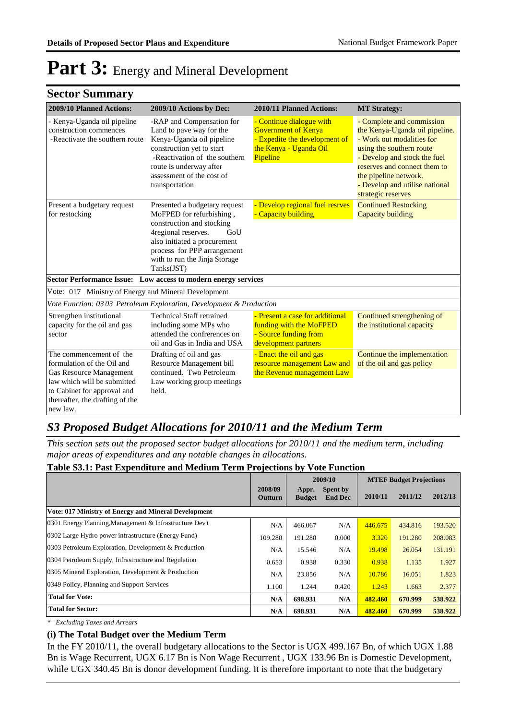### **Sector Summary**

| 2009/10 Planned Actions:                                                                                                                                                                      | 2009/10 Actions by Dec:                                                                                                                                                                                                            | 2010/11 Planned Actions:                                                                                                      | <b>MT Strategy:</b>                                                                                                                                                                                                                                                   |
|-----------------------------------------------------------------------------------------------------------------------------------------------------------------------------------------------|------------------------------------------------------------------------------------------------------------------------------------------------------------------------------------------------------------------------------------|-------------------------------------------------------------------------------------------------------------------------------|-----------------------------------------------------------------------------------------------------------------------------------------------------------------------------------------------------------------------------------------------------------------------|
| - Kenya-Uganda oil pipeline<br>construction commences<br>-Reactivate the southern route                                                                                                       | -RAP and Compensation for<br>Land to pave way for the<br>Kenya-Uganda oil pipeline<br>construction yet to start<br>-Reactivation of the southern<br>route is underway after<br>assessment of the cost of<br>transportation         | - Continue dialogue with<br><b>Government of Kenya</b><br>- Expedite the development of<br>the Kenya - Uganda Oil<br>Pipeline | - Complete and commission<br>the Kenya-Uganda oil pipeline.<br>- Work out modalities for<br>using the southern route<br>- Develop and stock the fuel<br>reserves and connect them to<br>the pipeline network.<br>- Develop and utilise national<br>strategic reserves |
| Present a budgetary request<br>for restocking                                                                                                                                                 | Presented a budgetary request<br>MoFPED for refurbishing,<br>construction and stocking<br>4regional reserves.<br>GoU<br>also initiated a procurement<br>process for PPP arrangement<br>with to run the Jinja Storage<br>Tanks(JST) | - Develop regional fuel resrves<br>- Capacity building                                                                        | <b>Continued Restocking</b><br>Capacity building                                                                                                                                                                                                                      |
|                                                                                                                                                                                               | Sector Performance Issue: Low access to modern energy services                                                                                                                                                                     |                                                                                                                               |                                                                                                                                                                                                                                                                       |
| Vote: 017 Ministry of Energy and Mineral Development                                                                                                                                          |                                                                                                                                                                                                                                    |                                                                                                                               |                                                                                                                                                                                                                                                                       |
|                                                                                                                                                                                               | Vote Function: 03 03 Petroleum Exploration, Development & Production                                                                                                                                                               |                                                                                                                               |                                                                                                                                                                                                                                                                       |
| Strengthen institutional<br>capacity for the oil and gas<br>sector                                                                                                                            | <b>Technical Staff retrained</b><br>including some MPs who<br>attended the confrerences on<br>oil and Gas in India and USA                                                                                                         | - Present a case for additional<br>funding with the MoFPED<br>- Source funding from<br>development partners                   | Continued strengthening of<br>the institutional capacity                                                                                                                                                                                                              |
| The commencement of the<br>formulation of the Oil and<br>Gas Resource Management<br>law which will be submitted<br>to Cabinet for approval and<br>thereafter, the drafting of the<br>new law. | Drafting of oil and gas<br>Resource Management bill<br>continued. Two Petroleum<br>Law working group meetings<br>held.                                                                                                             | - Enact the oil and gas<br>resource management Law and<br>the Revenue management Law                                          | Continue the implementation<br>of the oil and gas policy                                                                                                                                                                                                              |

### *S3 Proposed Budget Allocations for 2010/11 and the Medium Term*

*This section sets out the proposed sector budget allocations for 2010/11 and the medium term, including major areas of expenditures and any notable changes in allocations.* 

#### **Table S3.1: Past Expenditure and Medium Term Projections by Vote Function**

|                                                         |                    | 2009/10                |                            | <b>MTEF Budget Projections</b> |         |         |
|---------------------------------------------------------|--------------------|------------------------|----------------------------|--------------------------------|---------|---------|
|                                                         | 2008/09<br>Outturn | Appr.<br><b>Budget</b> | Spent by<br><b>End Dec</b> | 2010/11                        | 2011/12 | 2012/13 |
| Vote: 017 Ministry of Energy and Mineral Development    |                    |                        |                            |                                |         |         |
| 0301 Energy Planning, Management & Infrastructure Dev't | N/A                | 466.067                | N/A                        | 446.675                        | 434.816 | 193.520 |
| 0302 Large Hydro power infrastructure (Energy Fund)     | 109.280            | 191.280                | 0.000                      | 3.320                          | 191.280 | 208.083 |
| 0303 Petroleum Exploration, Development & Production    | N/A                | 15.546                 | N/A                        | 19.498                         | 26.054  | 131.191 |
| 0304 Petroleum Supply, Infrastructure and Regulation    | 0.653              | 0.938                  | 0.330                      | 0.938                          | 1.135   | 1.927   |
| 0305 Mineral Exploration, Development & Production      | N/A                | 23.856                 | N/A                        | 10.786                         | 16.051  | 1.823   |
| 0349 Policy, Planning and Support Services              | 1.100              | 1.244                  | 0.420                      | 1.243                          | 1.663   | 2.377   |
| <b>Total for Vote:</b>                                  | N/A                | 698.931                | N/A                        | 482.460                        | 670.999 | 538.922 |
| <b>Total for Sector:</b>                                | N/A                | 698.931                | N/A                        | 482.460                        | 670.999 | 538.922 |

*\* Excluding Taxes and Arrears*

#### **(i) The Total Budget over the Medium Term**

In the FY 2010/11, the overall budgetary allocations to the Sector is UGX 499.167 Bn, of which UGX 1.88 Bn is Wage Recurrent, UGX 6.17 Bn is Non Wage Recurrent , UGX 133.96 Bn is Domestic Development, while UGX 340.45 Bn is donor development funding. It is therefore important to note that the budgetary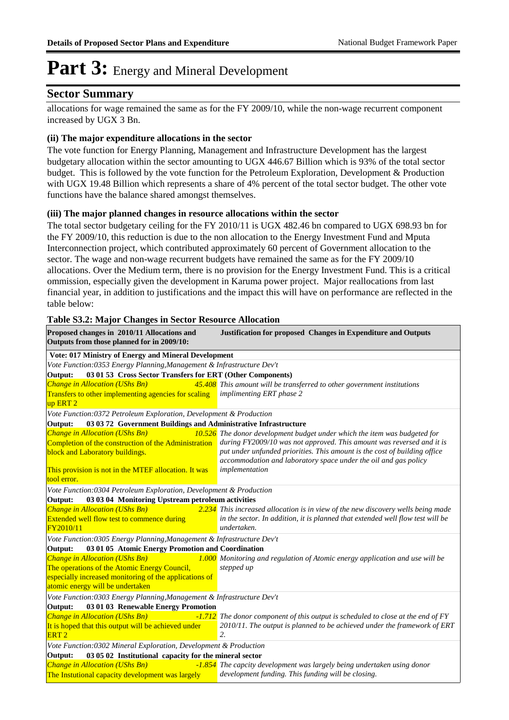### **Sector Summary**

allocations for wage remained the same as for the FY 2009/10, while the non-wage recurrent component increased by UGX 3 Bn.

#### **(ii) The major expenditure allocations in the sector**

The vote function for Energy Planning, Management and Infrastructure Development has the largest budgetary allocation within the sector amounting to UGX 446.67 Billion which is 93% of the total sector budget. This is followed by the vote function for the Petroleum Exploration, Development & Production with UGX 19.48 Billion which represents a share of 4% percent of the total sector budget. The other vote functions have the balance shared amongst themselves.

#### **(iii) The major planned changes in resource allocations within the sector**

The total sector budgetary ceiling for the FY 2010/11 is UGX 482.46 bn compared to UGX 698.93 bn for the FY 2009/10, this reduction is due to the non allocation to the Energy Investment Fund and Mputa Interconnection project, which contributed approximately 60 percent of Government allocation to the sector. The wage and non-wage recurrent budgets have remained the same as for the FY 2009/10 allocations. Over the Medium term, there is no provision for the Energy Investment Fund. This is a critical ommission, especially given the development in Karuma power project. Major reallocations from last financial year, in addition to justifications and the impact this will have on performance are reflected in the table below:

| Proposed changes in 2010/11 Allocations and<br>Outputs from those planned for in 2009/10:                               | <b>Justification for proposed Changes in Expenditure and Outputs</b>               |  |  |  |
|-------------------------------------------------------------------------------------------------------------------------|------------------------------------------------------------------------------------|--|--|--|
| Vote: 017 Ministry of Energy and Mineral Development                                                                    |                                                                                    |  |  |  |
| Vote Function:0353 Energy Planning, Management & Infrastructure Dev't                                                   |                                                                                    |  |  |  |
| 03 01 53 Cross Sector Transfers for ERT (Other Components)<br>Output:                                                   |                                                                                    |  |  |  |
| <b>Change in Allocation (UShs Bn)</b>                                                                                   | 45.408 This amount will be transferred to other government institutions            |  |  |  |
| Transfers to other implementing agencies for scaling                                                                    | implimenting ERT phase 2                                                           |  |  |  |
| up ERT <sub>2</sub>                                                                                                     |                                                                                    |  |  |  |
| Vote Function:0372 Petroleum Exploration, Development & Production                                                      |                                                                                    |  |  |  |
| 03 03 72 Government Buildings and Administrative Infrastructure<br>Output:                                              |                                                                                    |  |  |  |
| Change in Allocation (UShs Bn)                                                                                          | 10.526 The donor development budget under which the item was budgeted for          |  |  |  |
| Completion of the construction of the Administration                                                                    | during FY2009/10 was not approved. This amount was reversed and it is              |  |  |  |
| block and Laboratory buildings.                                                                                         | put under unfunded priorities. This amount is the cost of building office          |  |  |  |
|                                                                                                                         | accommodation and laboratory space under the oil and gas policy<br>implementation  |  |  |  |
| This provision is not in the MTEF allocation. It was<br>tool error.                                                     |                                                                                    |  |  |  |
|                                                                                                                         |                                                                                    |  |  |  |
| Vote Function:0304 Petroleum Exploration, Development & Production<br>03 03 04 Monitoring Upstream petroleum activities |                                                                                    |  |  |  |
| Output:<br><b>Change in Allocation (UShs Bn)</b>                                                                        | $2.234$ This increased allocation is in view of the new discovery wells being made |  |  |  |
| Extended well flow test to commence during                                                                              | in the sector. In addition, it is planned that extended well flow test will be     |  |  |  |
| FY2010/11                                                                                                               | undertaken.                                                                        |  |  |  |
| Vote Function:0305 Energy Planning, Management & Infrastructure Dev't                                                   |                                                                                    |  |  |  |
| 03 01 05 Atomic Energy Promotion and Coordination<br>Output:                                                            |                                                                                    |  |  |  |
| Change in Allocation (UShs Bn)                                                                                          | 1.000 Monitoring and regulation of Atomic energy application and use will be       |  |  |  |
| The operations of the Atomic Energy Council,                                                                            | stepped up                                                                         |  |  |  |
| especially increased monitoring of the applications of                                                                  |                                                                                    |  |  |  |
| atomic energy will be undertaken                                                                                        |                                                                                    |  |  |  |
| Vote Function:0303 Energy Planning, Management & Infrastructure Dev't                                                   |                                                                                    |  |  |  |
| 03 01 03 Renewable Energy Promotion<br>Output:                                                                          |                                                                                    |  |  |  |
| Change in Allocation (UShs Bn)                                                                                          | -1.712 The donor component of this output is scheduled to close at the end of FY   |  |  |  |
| It is hoped that this output will be achieved under                                                                     | 2010/11. The output is planned to be achieved under the framework of ERT           |  |  |  |
| ERT <sub>2</sub>                                                                                                        | 2.                                                                                 |  |  |  |
| Vote Function:0302 Mineral Exploration, Development & Production                                                        |                                                                                    |  |  |  |
| 03 05 02 Institutional capacity for the mineral sector<br>Output:                                                       |                                                                                    |  |  |  |
| <b>Change in Allocation (UShs Bn)</b>                                                                                   | -1.854 The capcity development was largely being undertaken using donor            |  |  |  |
| The Instutional capacity development was largely                                                                        | development funding. This funding will be closing.                                 |  |  |  |
|                                                                                                                         |                                                                                    |  |  |  |

#### **Table S3.2: Major Changes in Sector Resource Allocation**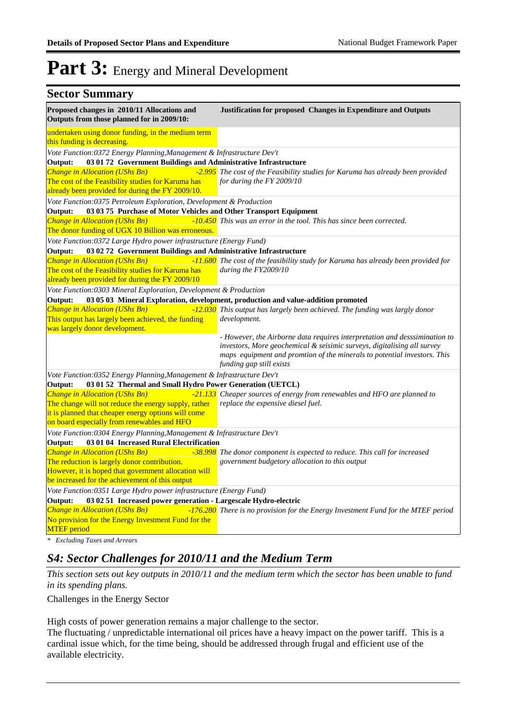| <b>Sector Summary</b>                                                                                                                    |                                                                                                                                                                                                                                                               |
|------------------------------------------------------------------------------------------------------------------------------------------|---------------------------------------------------------------------------------------------------------------------------------------------------------------------------------------------------------------------------------------------------------------|
| Proposed changes in 2010/11 Allocations and<br>Outputs from those planned for in 2009/10:                                                | Justification for proposed Changes in Expenditure and Outputs                                                                                                                                                                                                 |
| undertaken using donor funding, in the medium term<br>this funding is decreasing.                                                        |                                                                                                                                                                                                                                                               |
| Vote Function:0372 Energy Planning, Management & Infrastructure Dev't                                                                    |                                                                                                                                                                                                                                                               |
| Output:<br>03 01 72 Government Buildings and Administrative Infrastructure                                                               |                                                                                                                                                                                                                                                               |
| Change in Allocation (UShs Bn)<br>The cost of the Feasibility studies for Karuma has<br>already been provided for during the FY 2009/10. | -2.995 The cost of the Feasibility studies for Karuma has already been provided<br>for during the FY 2009/10                                                                                                                                                  |
| Vote Function:0375 Petroleum Exploration, Development & Production                                                                       |                                                                                                                                                                                                                                                               |
| 03 03 75 Purchase of Motor Vehicles and Other Transport Equipment<br>Output:                                                             |                                                                                                                                                                                                                                                               |
| Change in Allocation (UShs Bn)<br>The donor funding of UGX 10 Billion was erroneous.                                                     | -10.450 This was an error in the tool. This has since been corrected.                                                                                                                                                                                         |
| Vote Function:0372 Large Hydro power infrastructure (Energy Fund)                                                                        |                                                                                                                                                                                                                                                               |
| 03 02 72 Government Buildings and Administrative Infrastructure<br>Output:                                                               |                                                                                                                                                                                                                                                               |
| Change in Allocation (UShs Bn)<br>The cost of the Feasibility studies for Karuma has<br>already been provided for during the FY 2009/10  | -11.680 The cost of the feasibility study for Karuma has already been provided for<br>during the FY2009/10                                                                                                                                                    |
| Vote Function: 0303 Mineral Exploration, Development & Production                                                                        |                                                                                                                                                                                                                                                               |
| Output:                                                                                                                                  | 03 05 03 Mineral Exploration, development, production and value-addition promoted                                                                                                                                                                             |
| Change in Allocation (UShs Bn)                                                                                                           | -12.030 This output has largely been achieved. The funding was largly donor                                                                                                                                                                                   |
| This output has largely been achieved, the funding<br>was largely donor development.                                                     | development.                                                                                                                                                                                                                                                  |
|                                                                                                                                          | - However, the Airborne data requires interpretation and desssimination to<br>investors, More geochemical & seisimic surveys, digitalising all survey<br>maps equipment and promtion of the minerals to potential investors. This<br>funding gap still exists |
| Vote Function:0352 Energy Planning, Management & Infrastructure Dev't                                                                    |                                                                                                                                                                                                                                                               |
| 03 01 52 Thermal and Small Hydro Power Generation (UETCL)<br>Output:                                                                     |                                                                                                                                                                                                                                                               |
| <b>Change in Allocation (UShs Bn)</b>                                                                                                    | <b>1997</b> -21.133 Cheaper sources of energy from renewables and HFO are planned to                                                                                                                                                                          |
| The change will not reduce the energy supply, rather<br>it is planned that cheaper energy options will come                              | replace the expensive diesel fuel.                                                                                                                                                                                                                            |
| on board especially from renewables and HFO                                                                                              |                                                                                                                                                                                                                                                               |
| Vote Function:0304 Energy Planning, Management & Infrastructure Dev't<br>03 01 04 Increased Rural Electrification<br>Output:             |                                                                                                                                                                                                                                                               |
| Change in Allocation (UShs Bn)                                                                                                           | -38.998 The donor component is expected to reduce. This call for increased                                                                                                                                                                                    |
| The reduction is largely donor contribution.                                                                                             | government budgetory allocation to this output                                                                                                                                                                                                                |
| However, it is hoped that government allocation will                                                                                     |                                                                                                                                                                                                                                                               |
| be increased for the achievement of this output                                                                                          |                                                                                                                                                                                                                                                               |
| Vote Function:0351 Large Hydro power infrastructure (Energy Fund)                                                                        |                                                                                                                                                                                                                                                               |
| Output:<br>03 02 51 Increased power generation - Largescale Hydro-electric                                                               |                                                                                                                                                                                                                                                               |
| Change in Allocation (UShs Bn)<br>No provision for the Energy Investment Fund for the<br><b>MTEF</b> period                              | -176.280 There is no provision for the Energy Investment Fund for the MTEF period                                                                                                                                                                             |
|                                                                                                                                          |                                                                                                                                                                                                                                                               |

*\* Excluding Taxes and Arrears*

### *S4: Sector Challenges for 2010/11 and the Medium Term*

*This section sets out key outputs in 2010/11 and the medium term which the sector has been unable to fund in its spending plans.*

Challenges in the Energy Sector

High costs of power generation remains a major challenge to the sector.

The fluctuating / unpredictable international oil prices have a heavy impact on the power tariff. This is a cardinal issue which, for the time being, should be addressed through frugal and efficient use of the available electricity.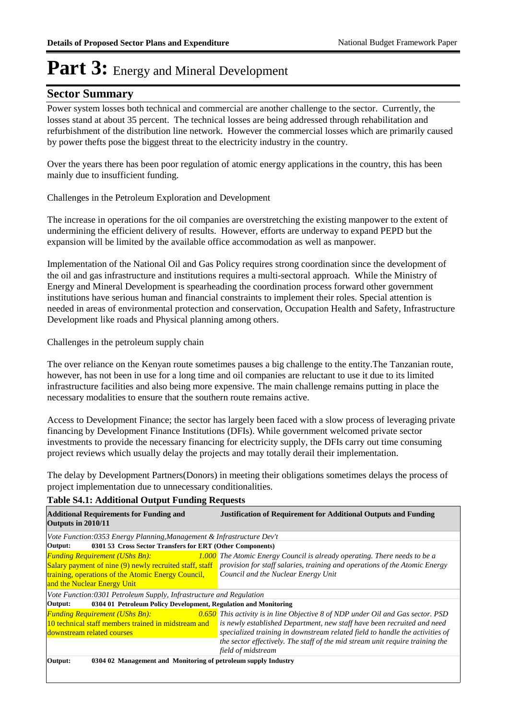### **Sector Summary**

Power system losses both technical and commercial are another challenge to the sector. Currently, the losses stand at about 35 percent. The technical losses are being addressed through rehabilitation and refurbishment of the distribution line network. However the commercial losses which are primarily caused by power thefts pose the biggest threat to the electricity industry in the country.

Over the years there has been poor regulation of atomic energy applications in the country, this has been mainly due to insufficient funding.

Challenges in the Petroleum Exploration and Development

The increase in operations for the oil companies are overstretching the existing manpower to the extent of undermining the efficient delivery of results. However, efforts are underway to expand PEPD but the expansion will be limited by the available office accommodation as well as manpower.

Implementation of the National Oil and Gas Policy requires strong coordination since the development of the oil and gas infrastructure and institutions requires a multi-sectoral approach. While the Ministry of Energy and Mineral Development is spearheading the coordination process forward other government institutions have serious human and financial constraints to implement their roles. Special attention is needed in areas of environmental protection and conservation, Occupation Health and Safety, Infrastructure Development like roads and Physical planning among others.

Challenges in the petroleum supply chain

The over reliance on the Kenyan route sometimes pauses a big challenge to the entity.The Tanzanian route, however, has not been in use for a long time and oil companies are reluctant to use it due to its limited infrastructure facilities and also being more expensive. The main challenge remains putting in place the necessary modalities to ensure that the southern route remains active.

Access to Development Finance; the sector has largely been faced with a slow process of leveraging private financing by Development Finance Institutions (DFIs). While government welcomed private sector investments to provide the necessary financing for electricity supply, the DFIs carry out time consuming project reviews which usually delay the projects and may totally derail their implementation.

The delay by Development Partners(Donors) in meeting their obligations sometimes delays the process of project implementation due to unnecessary conditionalities.

| <b>Additional Requirements for Funding and</b><br>Outputs in 2010/11                                                       | <b>Justification of Requirement for Additional Outputs and Funding</b>                                                                                                                                                                                                                                                             |
|----------------------------------------------------------------------------------------------------------------------------|------------------------------------------------------------------------------------------------------------------------------------------------------------------------------------------------------------------------------------------------------------------------------------------------------------------------------------|
| Vote Function:0353 Energy Planning, Management & Infrastructure Dev't                                                      |                                                                                                                                                                                                                                                                                                                                    |
| 0301 53 Cross Sector Transfers for ERT (Other Components)<br>Output:                                                       |                                                                                                                                                                                                                                                                                                                                    |
| <b>Funding Requirement (UShs Bn):</b>                                                                                      | <b>1.000</b> The Atomic Energy Council is already operating. There needs to be a                                                                                                                                                                                                                                                   |
| training, operations of the Atomic Energy Council,<br>and the Nuclear Energy Unit                                          | Salary payment of nine (9) newly recruited staff, staff provision for staff salaries, training and operations of the Atomic Energy<br>Council and the Nuclear Energy Unit                                                                                                                                                          |
| Vote Function:0301 Petroleum Supply, Infrastructure and Regulation                                                         |                                                                                                                                                                                                                                                                                                                                    |
| 0304 01 Petroleum Policy Development, Regulation and Monitoring<br>Output:                                                 |                                                                                                                                                                                                                                                                                                                                    |
| <b>Funding Requirement (UShs Bn):</b><br>10 technical staff members trained in midstream and<br>downstream related courses | <b>0.650</b> This activity is in line Objective 8 of NDP under Oil and Gas sector. PSD<br>is newly established Department, new staff have been recruited and need<br>specialized training in downstream related field to handle the activities of<br>the sector effectively. The staff of the mid stream unit require training the |
|                                                                                                                            | field of midstream                                                                                                                                                                                                                                                                                                                 |
| Output:<br>0304 02 Management and Monitoring of petroleum supply Industry                                                  |                                                                                                                                                                                                                                                                                                                                    |

#### **Table S4.1: Additional Output Funding Requests**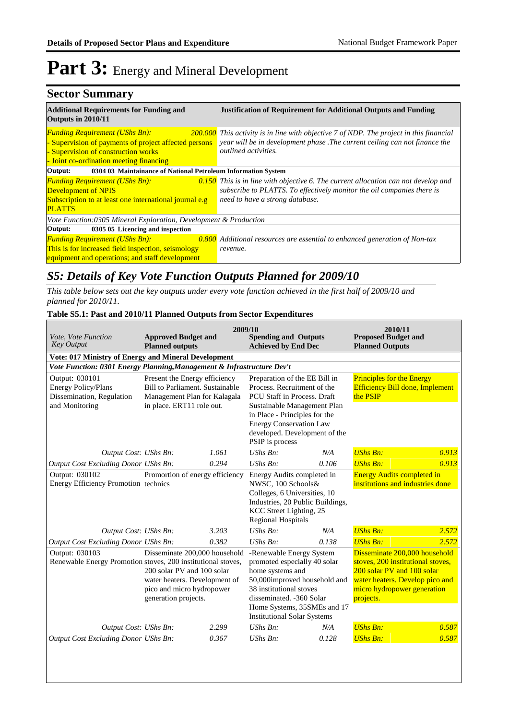#### **Sector Summary Additional Requirements for Funding and Justification of Requirement for Additional Outputs and Funding Outputs in 2010/11 Funding Requirement (UShs Bn):** - Supervision of payments of project affected persons - Supervision of construction works - Joint co-ordination meeting financing *This activity is in line with objective 7 of NDP. The project in this financial year will be in development phase .The current ceiling can not finance the outlined activities.* **Output: 0304 03 Maintainance of National Petroleum Information System** *Funding Requirement (UShs Bn): 0.150* Development of NPIS Subscription to at least one international journal e.g PLATTS *This is in line with objective 6. The current allocation can not develop and subscribe to PLATTS. To effectively monitor the oil companies there is need to have a strong database. Vote Function:0305 Mineral Exploration, Development & Production* **Output: 0305 05 Licencing and inspection** *Funding Requirement (UShs Bn): 0.800* This is for increased field inspection, seismology equipment and operations; and staff development *Additional resources are essential to enhanced generation of Non-tax revenue.*

### *S5: Details of Key Vote Function Outputs Planned for 2009/10*

*This table below sets out the key outputs under every vote function achieved in the first half of 2009/10 and planned for 2010/11.*

#### **Table S5.1: Past and 2010/11 Planned Outputs from Sector Expenditures**

| Vote, Vote Function<br><b>Key Output</b>                                                    | <b>Approved Budget and</b><br><b>Planned outputs</b>                                                                                                                                                              | 2009/10 | <b>Spending and Outputs</b><br><b>Achieved by End Dec</b>                                                                                                                                                                                         |       | 2010/11<br><b>Proposed Budget and</b><br><b>Planned Outputs</b>                                                                                                                 |       |
|---------------------------------------------------------------------------------------------|-------------------------------------------------------------------------------------------------------------------------------------------------------------------------------------------------------------------|---------|---------------------------------------------------------------------------------------------------------------------------------------------------------------------------------------------------------------------------------------------------|-------|---------------------------------------------------------------------------------------------------------------------------------------------------------------------------------|-------|
| Vote: 017 Ministry of Energy and Mineral Development                                        |                                                                                                                                                                                                                   |         |                                                                                                                                                                                                                                                   |       |                                                                                                                                                                                 |       |
| Vote Function: 0301 Energy Planning, Management & Infrastructure Dev't                      |                                                                                                                                                                                                                   |         |                                                                                                                                                                                                                                                   |       |                                                                                                                                                                                 |       |
| Output: 030101<br><b>Energy Policy/Plans</b><br>Dissemination, Regulation<br>and Monitoring | Present the Energy efficiency<br><b>Bill to Parliament. Sustainable</b><br>Management Plan for Kalagala<br>in place. ERT11 role out.                                                                              |         | Preparation of the EE Bill in<br>Process. Recruitment of the<br>PCU Staff in Process. Draft<br>Sustainable Management Plan<br>in Place - Principles for the<br><b>Energy Conservation Law</b><br>developed. Development of the<br>PSIP is process |       | <b>Principles for the Energy</b><br><b>Efficiency Bill done, Implement</b><br>the PSIP                                                                                          |       |
| Output Cost: UShs Bn:                                                                       |                                                                                                                                                                                                                   | 1.061   | $UShs Bn$ :                                                                                                                                                                                                                                       | N/A   | <b>UShs Bn:</b>                                                                                                                                                                 | 0.913 |
| <b>Output Cost Excluding Donor UShs Bn:</b>                                                 |                                                                                                                                                                                                                   | 0.294   | $UShs Bn$ :                                                                                                                                                                                                                                       | 0.106 | <b>UShs Bn:</b>                                                                                                                                                                 | 0.913 |
| Output: 030102<br>Energy Efficiency Promotion technics                                      | Promortion of energy efficiency                                                                                                                                                                                   |         | Energy Audits completed in<br>NWSC, 100 Schools&<br>Colleges, 6 Universities, 10<br>Industries, 20 Public Buildings,<br>KCC Street Lighting, 25<br><b>Regional Hospitals</b>                                                                      |       | <b>Energy Audits completed in</b><br>institutions and industries done                                                                                                           |       |
| Output Cost: UShs Bn:                                                                       |                                                                                                                                                                                                                   | 3.203   | $UShs Bn$ :                                                                                                                                                                                                                                       | N/A   | <b>UShs Bn:</b>                                                                                                                                                                 | 2.572 |
| Output Cost Excluding Donor UShs Bn:                                                        |                                                                                                                                                                                                                   | 0.382   | $UShs Bn$ :                                                                                                                                                                                                                                       | 0.138 | <b>UShs Bn:</b>                                                                                                                                                                 | 2.572 |
| Output: 030103                                                                              | Disseminate 200,000 household<br>Renewable Energy Promotion stoves, 200 institutional stoves,<br>200 solar PV and 100 solar<br>water heaters. Development of<br>pico and micro hydropower<br>generation projects. |         | -Renewable Energy System<br>promoted especially 40 solar<br>home systems and<br>50,000improved household and<br>38 institutional stoves<br>disseminated. -360 Solar<br>Home Systems, 35SMEs and 17<br><b>Institutional Solar Systems</b>          |       | Disseminate 200,000 household<br>stoves, 200 institutional stoves,<br>200 solar PV and 100 solar<br>water heaters. Develop pico and<br>micro hydropower generation<br>projects. |       |
| Output Cost: UShs Bn:                                                                       |                                                                                                                                                                                                                   | 2.299   | $UShs Bn$ :                                                                                                                                                                                                                                       | N/A   | <b>UShs Bn:</b>                                                                                                                                                                 | 0.587 |
| <b>Output Cost Excluding Donor UShs Bn:</b>                                                 |                                                                                                                                                                                                                   | 0.367   | $UShs Bn$ :                                                                                                                                                                                                                                       | 0.128 | <b>UShs Bn:</b>                                                                                                                                                                 | 0.587 |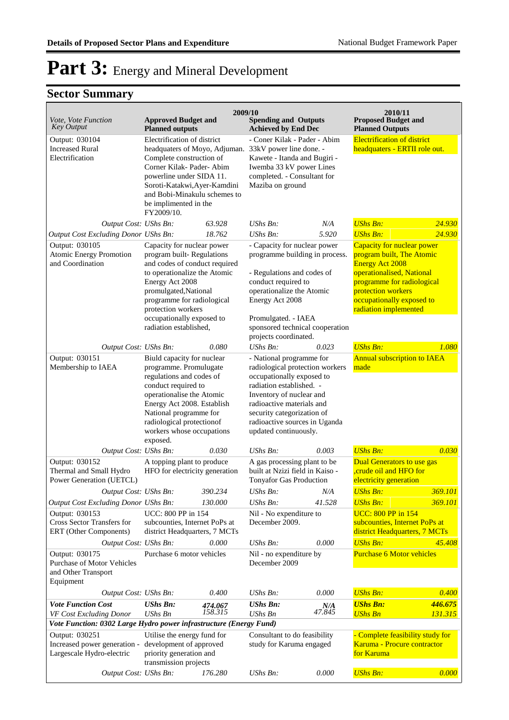| 2009/10<br>2010/11                                                                                                                      |                                                                                                                                                                                                                                                                                  |                    |                                                                                                                                                                                                                                                                       |                 |                                                                                                                                                                                                                                             |                            |  |
|-----------------------------------------------------------------------------------------------------------------------------------------|----------------------------------------------------------------------------------------------------------------------------------------------------------------------------------------------------------------------------------------------------------------------------------|--------------------|-----------------------------------------------------------------------------------------------------------------------------------------------------------------------------------------------------------------------------------------------------------------------|-----------------|---------------------------------------------------------------------------------------------------------------------------------------------------------------------------------------------------------------------------------------------|----------------------------|--|
| Vote, Vote Function<br><b>Key Output</b>                                                                                                | <b>Approved Budget and</b><br><b>Planned outputs</b>                                                                                                                                                                                                                             |                    | <b>Spending and Outputs</b><br><b>Achieved by End Dec</b>                                                                                                                                                                                                             |                 | <b>Proposed Budget and</b><br><b>Planned Outputs</b>                                                                                                                                                                                        |                            |  |
| Output: 030104<br><b>Increased Rural</b><br>Electrification                                                                             | Electrification of district<br>headquaters of Moyo, Adjuman. 33kV power line done. -<br>Complete construction of<br>Corner Kilak- Pader- Abim<br>powerline under SIDA 11.<br>Soroti-Katakwi, Ayer-Kamdini<br>and Bobi-Minakulu schemes to<br>be implimented in the<br>FY2009/10. |                    | - Coner Kilak - Pader - Abim<br>Kawete - Itanda and Bugiri -<br>Iwemba 33 kV power Lines<br>completed. - Consultant for<br>Maziba on ground                                                                                                                           |                 | <b>Electrification of district</b><br>headquaters - ERTII role out.                                                                                                                                                                         |                            |  |
| Output Cost: UShs Bn:                                                                                                                   |                                                                                                                                                                                                                                                                                  | 63.928             | <b>UShs Bn:</b>                                                                                                                                                                                                                                                       | N/A             | <b>UShs Bn:</b>                                                                                                                                                                                                                             | 24.930                     |  |
| Output Cost Excluding Donor UShs Bn:<br>Output: 030105<br><b>Atomic Energy Promotion</b><br>and Coordination                            | Capacity for nuclear power<br>program built-Regulations<br>and codes of conduct required<br>to operationalize the Atomic<br>Energy Act 2008<br>promulgated, National<br>programme for radiological<br>protection workers<br>occupationally exposed to<br>radiation established,  | 18.762             | UShs Bn:<br>- Capacity for nuclear power<br>programme building in process.<br>- Regulations and codes of<br>conduct required to<br>operationalize the Atomic<br>Energy Act 2008<br>Promulgated. - IAEA<br>sponsored technical cooperation<br>projects coordinated.    | 5.920           | <b>UShs Bn:</b><br>Capacity for nuclear power<br>program built, The Atomic<br><b>Energy Act 2008</b><br>operationalised, National<br>programme for radiological<br>protection workers<br>occupationally exposed to<br>radiation implemented | 24.930                     |  |
| Output Cost: UShs Bn:                                                                                                                   |                                                                                                                                                                                                                                                                                  | 0.080              | $UShs Bn$ :                                                                                                                                                                                                                                                           | 0.023           | <b>UShs Bn:</b>                                                                                                                                                                                                                             | 1.080                      |  |
| Output: 030151<br>Membership to IAEA                                                                                                    | Biuld capacity for nuclear<br>programme. Promulugate<br>regulations and codes of<br>conduct required to<br>operationalise the Atomic<br>Energy Act 2008. Establish<br>National programme for<br>radiological protection<br>of<br>workers whose occupations<br>exposed.           |                    | - National programme for<br>radiological protection workers<br>occupationally exposed to<br>radiation established. -<br>Inventory of nuclear and<br>radioactive materials and<br>security categorization of<br>radioactive sources in Uganda<br>updated continuously. |                 | <b>Annual subscription to IAEA</b><br>made                                                                                                                                                                                                  |                            |  |
| Output Cost: UShs Bn:                                                                                                                   |                                                                                                                                                                                                                                                                                  | 0.030              | UShs Bn:                                                                                                                                                                                                                                                              | 0.003           | <b>UShs Bn:</b>                                                                                                                                                                                                                             | 0.030                      |  |
| Output: 030152<br>Thermal and Small Hydro<br>Power Generation (UETCL)                                                                   | A topping plant to produce<br>HFO for electricity generation                                                                                                                                                                                                                     |                    | A gas processing plant to be<br>built at Nzizi field in Kaiso -<br><b>Tonyafor Gas Production</b>                                                                                                                                                                     |                 | <b>Dual Generators to use gas</b><br>crude oil and HFO for<br>electricity generation                                                                                                                                                        |                            |  |
| Output Cost: UShs Bn:                                                                                                                   |                                                                                                                                                                                                                                                                                  | 390.234            | UShs Bn:                                                                                                                                                                                                                                                              | N/A             | <b>UShs Bn:</b>                                                                                                                                                                                                                             | 369.101                    |  |
| Output Cost Excluding Donor UShs Bn:<br>Output: 030153<br>Cross Sector Transfers for<br>ERT (Other Components)<br>Output Cost: UShs Bn: | UCC: 800 PP in 154<br>subcounties, Internet PoPs at<br>district Headquarters, 7 MCTs                                                                                                                                                                                             | 130.000<br>0.000   | UShs Bn:<br>Nil - No expenditure to<br>December 2009.<br>UShs Bn:                                                                                                                                                                                                     | 41.528<br>0.000 | <b>UShs Bn:</b><br><b>UCC: 800 PP in 154</b><br>subcounties, Internet PoPs at<br>district Headquarters, 7 MCTs<br><b>UShs Bn:</b>                                                                                                           | 369.101<br>45.408          |  |
| Output: 030175<br>Purchase of Motor Vehicles<br>and Other Transport<br>Equipment                                                        | Purchase 6 motor vehicles                                                                                                                                                                                                                                                        |                    | Nil - no expenditure by<br>December 2009                                                                                                                                                                                                                              |                 | <b>Purchase 6 Motor vehicles</b>                                                                                                                                                                                                            |                            |  |
| Output Cost: UShs Bn:                                                                                                                   |                                                                                                                                                                                                                                                                                  | 0.400              | UShs Bn:                                                                                                                                                                                                                                                              | 0.000           | <b>UShs Bn:</b>                                                                                                                                                                                                                             | 0.400                      |  |
| <b>Vote Function Cost</b><br>VF Cost Excluding Donor<br>Vote Function: 0302 Large Hydro power infrastructure (Energy Fund)              | <b>UShs Bn:</b><br><b>UShs Bn</b>                                                                                                                                                                                                                                                | 474.067<br>158.315 | <b>UShs Bn:</b><br>UShs Bn                                                                                                                                                                                                                                            | N/A<br>47.845   | <b>UShs Bn:</b><br><b>UShs Bn</b>                                                                                                                                                                                                           | 446.675<br><u> 131.315</u> |  |
| Output: 030251<br>Increased power generation - development of approved<br>Largescale Hydro-electric                                     | Utilise the energy fund for<br>priority generation and<br>transmission projects                                                                                                                                                                                                  |                    | Consultant to do feasibility<br>study for Karuma engaged                                                                                                                                                                                                              |                 | - Complete feasibility study for<br>Karuma - Procure contractor<br>for Karuma                                                                                                                                                               |                            |  |
| Output Cost: UShs Bn:                                                                                                                   |                                                                                                                                                                                                                                                                                  | 176.280            | UShs Bn:                                                                                                                                                                                                                                                              | 0.000           | <b>UShs Bn:</b>                                                                                                                                                                                                                             | 0.000                      |  |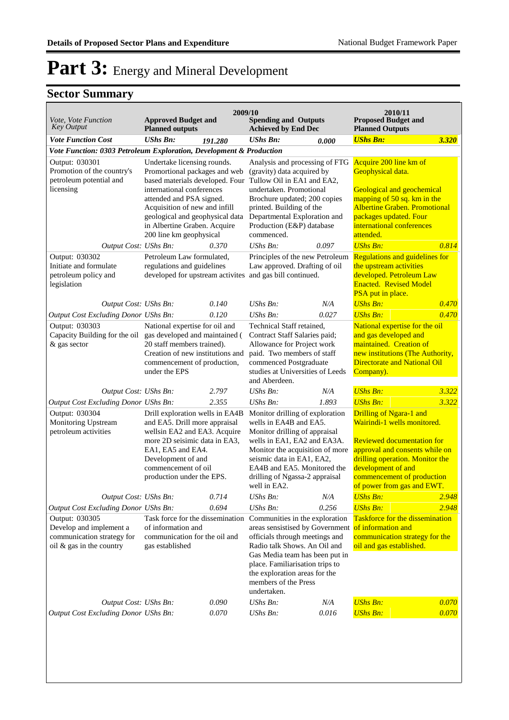| Vote, Vote Function<br><b>Key Output</b>                                                            | <b>Approved Budget and</b><br><b>Planned outputs</b>                                                                                                                                                                                                                                    | 2009/10 | <b>Spending and Outputs</b><br><b>Achieved by End Dec</b>                                                                                                                                                                                                                        |       | 2010/11<br><b>Proposed Budget and</b><br><b>Planned Outputs</b>                                                                                                                                                                                    |       |
|-----------------------------------------------------------------------------------------------------|-----------------------------------------------------------------------------------------------------------------------------------------------------------------------------------------------------------------------------------------------------------------------------------------|---------|----------------------------------------------------------------------------------------------------------------------------------------------------------------------------------------------------------------------------------------------------------------------------------|-------|----------------------------------------------------------------------------------------------------------------------------------------------------------------------------------------------------------------------------------------------------|-------|
| <b>Vote Function Cost</b>                                                                           | <b>UShs Bn:</b>                                                                                                                                                                                                                                                                         | 191.280 | <b>UShs Bn:</b>                                                                                                                                                                                                                                                                  | 0.000 | <b>UShs Bn:</b>                                                                                                                                                                                                                                    | 3.320 |
| Vote Function: 0303 Petroleum Exploration, Development & Production                                 |                                                                                                                                                                                                                                                                                         |         |                                                                                                                                                                                                                                                                                  |       |                                                                                                                                                                                                                                                    |       |
| Output: 030301<br>Promotion of the country's<br>petroleum potential and<br>licensing                | Undertake licensing rounds.<br>Promortional packages and web<br>based materials developed. Four<br>international conferences<br>attended and PSA signed.<br>Acquisition of new and infill<br>geological and geophysical data<br>in Albertine Graben. Acquire<br>200 line km geophysical |         | Analysis and processing of FTG<br>(gravity) data acquired by<br>Tullow Oil in EA1 and EA2,<br>undertaken. Promotional<br>Brochure updated; 200 copies<br>printed. Building of the<br>Departmental Exploration and<br>Production (E&P) database<br>commenced.                     |       | Acquire 200 line km of<br>Geophysical data.<br>Geological and geochemical<br>mapping of 50 sq. km in the<br><b>Albertine Graben. Promotional</b><br>packages updated. Four<br>international conferences<br>attended.                               |       |
| Output Cost: UShs Bn:                                                                               |                                                                                                                                                                                                                                                                                         | 0.370   | $UShs Bn$ :                                                                                                                                                                                                                                                                      | 0.097 | <b>UShs Bn:</b>                                                                                                                                                                                                                                    | 0.814 |
| Output: 030302<br>Initiate and formulate<br>petroleum policy and<br>legislation                     | Petroleum Law formulated,<br>regulations and guidelines<br>developed for upstream activites                                                                                                                                                                                             |         | Principles of the new Petroleum<br>Law approved. Drafting of oil<br>and gas bill continued.                                                                                                                                                                                      |       | <b>Regulations and guidelines for</b><br>the upstream activities<br>developed. Petroleum Law<br><b>Enacted. Revised Model</b><br>PSA put in place.                                                                                                 |       |
| Output Cost: UShs Bn:                                                                               |                                                                                                                                                                                                                                                                                         | 0.140   | $UShs Bn$ :                                                                                                                                                                                                                                                                      | N/A   | <b>UShs Bn:</b>                                                                                                                                                                                                                                    | 0.470 |
| Output Cost Excluding Donor UShs Bn:                                                                |                                                                                                                                                                                                                                                                                         | 0.120   | UShs Bn:                                                                                                                                                                                                                                                                         | 0.027 | <b>UShs Bn:</b>                                                                                                                                                                                                                                    | 0.470 |
| Output: 030303<br>& gas sector                                                                      | National expertise for oil and<br>Capacity Building for the oil gas developed and maintained (<br>20 staff members trained).<br>Creation of new institutions and<br>commencement of production,<br>under the EPS                                                                        |         | Technical Staff retained,<br>Contract Staff Salaries paid;<br>Allowance for Project work<br>paid. Two members of staff<br>commenced Postgraduate<br>studies at Universities of Leeds<br>and Aberdeen.                                                                            |       | National expertise for the oil<br>and gas developed and<br>maintained. Creation of<br>new institutions (The Authority,<br><b>Directorate and National Oil</b><br>Company).                                                                         |       |
| Output Cost: UShs Bn:                                                                               |                                                                                                                                                                                                                                                                                         | 2.797   | $UShs Bn$ :                                                                                                                                                                                                                                                                      | N/A   | <b>UShs Bn:</b>                                                                                                                                                                                                                                    | 3.322 |
| Output Cost Excluding Donor UShs Bn:                                                                |                                                                                                                                                                                                                                                                                         | 2.355   | UShs Bn:                                                                                                                                                                                                                                                                         | 1.893 | <b>UShs Bn:</b>                                                                                                                                                                                                                                    | 3.322 |
| Output: 030304<br>Monitoring Upstream<br>petroleum activities                                       | Drill exploration wells in EA4B<br>and EA5. Drill more appraisal<br>wellsin EA2 and EA3. Acquire<br>more 2D seisimic data in EA3,<br>EA1, EA5 and EA4.<br>Development of and<br>commencement of oil<br>production under the EPS.                                                        |         | Monitor drilling of exploration<br>wells in EA4B and EA5.<br>Monitor drilling of appraisal<br>wells in EA1, EA2 and EA3A.<br>Monitor the acquisition of more<br>seismic data in EA1, EA2,<br>EA4B and EA5. Monitored the<br>drilling of Ngassa-2 appraisal<br>well in EA2.       |       | Drilling of Ngara-1 and<br>Wairindi-1 wells monitored.<br><b>Reviewed documentation for</b><br>approval and consents while on<br>drilling operation. Monitor the<br>development of and<br>commencement of production<br>of power from gas and EWT. |       |
| Output Cost: UShs Bn:                                                                               |                                                                                                                                                                                                                                                                                         | 0.714   | UShs Bn:                                                                                                                                                                                                                                                                         | N/A   | <b>UShs Bn:</b>                                                                                                                                                                                                                                    | 2.948 |
| <b>Output Cost Excluding Donor UShs Bn:</b>                                                         |                                                                                                                                                                                                                                                                                         | 0.694   | $UShs Bn$ :                                                                                                                                                                                                                                                                      | 0.256 | <b>UShs Bn:</b>                                                                                                                                                                                                                                    | 2.948 |
| Output: 030305<br>Develop and implement a<br>communication strategy for<br>oil & gas in the country | Task force for the dissemination<br>of information and<br>communication for the oil and<br>gas established                                                                                                                                                                              |         | Communities in the exploration<br>areas sensistised by Government<br>officials through meetings and<br>Radio talk Shows. An Oil and<br>Gas Media team has been put in<br>place. Familiarisation trips to<br>the exploration areas for the<br>members of the Press<br>undertaken. |       | <b>Taskforce for the dissemination</b><br>of information and<br>communication strategy for the<br>oil and gas established.                                                                                                                         |       |
| Output Cost: UShs Bn:                                                                               |                                                                                                                                                                                                                                                                                         | 0.090   | UShs Bn:                                                                                                                                                                                                                                                                         | N/A   | <b>UShs Bn:</b>                                                                                                                                                                                                                                    | 0.070 |
| <b>Output Cost Excluding Donor UShs Bn:</b>                                                         |                                                                                                                                                                                                                                                                                         | 0.070   | UShs Bn:                                                                                                                                                                                                                                                                         | 0.016 | <b>UShs Bn:</b>                                                                                                                                                                                                                                    | 0.070 |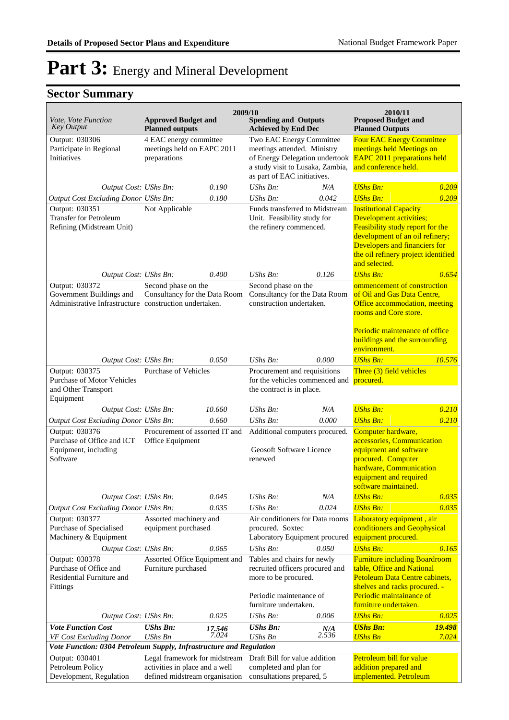| 2009/10<br>2010/11                                                                                   |                                                                                                   |                                                                                                                   |                                                                                                                                                              |                                                                                                                                                                                                         |                                                                                                                                                                                                                          |                        |
|------------------------------------------------------------------------------------------------------|---------------------------------------------------------------------------------------------------|-------------------------------------------------------------------------------------------------------------------|--------------------------------------------------------------------------------------------------------------------------------------------------------------|---------------------------------------------------------------------------------------------------------------------------------------------------------------------------------------------------------|--------------------------------------------------------------------------------------------------------------------------------------------------------------------------------------------------------------------------|------------------------|
| <i>Vote, Vote Function</i><br><b>Key Output</b>                                                      | <b>Approved Budget and</b><br><b>Planned outputs</b>                                              |                                                                                                                   | <b>Spending and Outputs</b><br><b>Achieved by End Dec</b>                                                                                                    |                                                                                                                                                                                                         | <b>Proposed Budget and</b><br><b>Planned Outputs</b>                                                                                                                                                                     |                        |
| Output: 030306<br>Participate in Regional<br>Initiatives                                             | 4 EAC energy committee<br>meetings held on EAPC 2011<br>preparations                              |                                                                                                                   | Two EAC Energy Committee<br>meetings attended. Ministry<br>of Energy Delegation undertook<br>a study visit to Lusaka, Zambia,<br>as part of EAC initiatives. |                                                                                                                                                                                                         | <b>Four EAC Energy Committee</b><br>meetings held Meetings on<br><b>EAPC 2011 preparations held</b><br>and conference held.                                                                                              |                        |
| Output Cost: UShs Bn:                                                                                |                                                                                                   | 0.190                                                                                                             | $UShs Bn$ :                                                                                                                                                  | N/A                                                                                                                                                                                                     | <b>UShs Bn:</b>                                                                                                                                                                                                          | 0.209                  |
| Output Cost Excluding Donor UShs Bn:                                                                 |                                                                                                   | 0.180                                                                                                             | $UShs Bn$ :                                                                                                                                                  | 0.042                                                                                                                                                                                                   | <b>UShs Bn:</b>                                                                                                                                                                                                          | 0.209                  |
| Output: 030351<br><b>Transfer for Petroleum</b><br>Refining (Midstream Unit)                         | Not Applicable                                                                                    |                                                                                                                   | Funds transferred to Midstream<br>Unit. Feasibility study for<br>the refinery commenced.                                                                     |                                                                                                                                                                                                         | <b>Institutional Capacity</b><br>Development activities;<br>Feasibility study report for the<br>development of an oil refinery;<br>Developers and financiers for<br>the oil refinery project identified<br>and selected. |                        |
| Output Cost: UShs Bn:                                                                                |                                                                                                   | 0.400                                                                                                             | $UShs Bn$ :                                                                                                                                                  | 0.126                                                                                                                                                                                                   | <b>UShs Bn:</b>                                                                                                                                                                                                          | 0.654                  |
| Output: 030372<br>Government Buildings and<br>Administrative Infrastructure construction undertaken. | Second phase on the                                                                               | Second phase on the<br>Consultancy for the Data Room<br>Consultancy for the Data Room<br>construction undertaken. |                                                                                                                                                              | ommencement of construction<br>of Oil and Gas Data Centre,<br>Office accommodation, meeting<br>rooms and Core store.<br>Periodic maintenance of office<br>buildings and the surrounding<br>environment. |                                                                                                                                                                                                                          |                        |
| Output Cost: UShs Bn:                                                                                |                                                                                                   | 0.050                                                                                                             | $UShs Bn$ :                                                                                                                                                  | 0.000                                                                                                                                                                                                   | <b>UShs Bn:</b>                                                                                                                                                                                                          | 10.576                 |
| Output: 030375<br><b>Purchase of Motor Vehicles</b><br>and Other Transport<br>Equipment              | <b>Purchase of Vehicles</b>                                                                       |                                                                                                                   | Procurement and requisitions<br>for the vehicles commenced and<br>the contract is in place.                                                                  |                                                                                                                                                                                                         | Three (3) field vehicles<br>procured.                                                                                                                                                                                    |                        |
| Output Cost: UShs Bn:                                                                                |                                                                                                   | 10.660                                                                                                            | $UShs Bn$ :                                                                                                                                                  | N/A                                                                                                                                                                                                     | <b>UShs Bn:</b>                                                                                                                                                                                                          | 0.210                  |
| Output Cost Excluding Donor UShs Bn:                                                                 |                                                                                                   | 0.660                                                                                                             | $UShs Bn$ :                                                                                                                                                  | 0.000                                                                                                                                                                                                   | <b>UShs Bn:</b>                                                                                                                                                                                                          | 0.210                  |
| Output: 030376<br>Purchase of Office and ICT<br>Equipment, including<br>Software                     | Office Equipment                                                                                  | Procurement of assorted IT and                                                                                    |                                                                                                                                                              | Additional computers procured.<br>Geosoft Software Licence                                                                                                                                              | Computer hardware,<br>accessories, Communication<br>equipment and software<br>procured. Computer<br>hardware, Communication<br>equipment and required<br>software maintained.                                            |                        |
| Output Cost: UShs Bn:                                                                                |                                                                                                   | 0.045                                                                                                             | UShs Bn:                                                                                                                                                     | N/A                                                                                                                                                                                                     | <b>UShs Bn:</b>                                                                                                                                                                                                          | 0.035                  |
| Output Cost Excluding Donor UShs Bn:                                                                 |                                                                                                   | 0.035                                                                                                             | $\mathit{UShs}\, \mathit{Bn}$ :                                                                                                                              | 0.024                                                                                                                                                                                                   | <b>UShs Bn:</b>                                                                                                                                                                                                          | 0.035                  |
| Output: 030377<br>Purchase of Specialised<br>Machinery & Equipment                                   | Assorted machinery and<br>equipment purchased                                                     |                                                                                                                   | Air conditioners for Data rooms<br>procured. Soxtec<br>Laboratory Equipment procured                                                                         |                                                                                                                                                                                                         | Laboratory equipment, air<br>conditioners and Geophysical<br>equipment procured.                                                                                                                                         |                        |
| Output Cost: UShs Bn:                                                                                |                                                                                                   | 0.065                                                                                                             | $UShs Bn$ :                                                                                                                                                  | 0.050                                                                                                                                                                                                   | <b>UShs Bn:</b>                                                                                                                                                                                                          | 0.165                  |
| Output: 030378<br>Purchase of Office and<br>Residential Furniture and<br>Fittings                    | Assorted Office Equipment and<br>Furniture purchased                                              |                                                                                                                   | Tables and chairs for newly<br>recruited officers procured and<br>more to be procured.<br>Periodic maintenance of<br>furniture undertaken.                   |                                                                                                                                                                                                         | <b>Furniture including Boardroom</b><br>table, Office and National<br>Petoleum Data Centre cabinets,<br>shelves and racks procured. -<br>Periodic maintainance of<br>furniture undertaken.                               |                        |
| Output Cost: UShs Bn:                                                                                |                                                                                                   | 0.025                                                                                                             | UShs Bn:                                                                                                                                                     | 0.006                                                                                                                                                                                                   | <b>UShs Bn:</b>                                                                                                                                                                                                          | 0.025                  |
| <b>Vote Function Cost</b><br>VF Cost Excluding Donor                                                 | <b>UShs Bn:</b><br><b>UShs Bn</b>                                                                 | 17.546<br>7.024                                                                                                   | <b>UShs Bn:</b><br><b>UShs Bn</b>                                                                                                                            | N/A<br>2.536                                                                                                                                                                                            | <b>UShs Bn:</b><br><b>UShs Bn</b>                                                                                                                                                                                        | <b>19.498</b><br>7.024 |
| Vote Function: 0304 Petroleum Supply, Infrastructure and Regulation                                  |                                                                                                   |                                                                                                                   |                                                                                                                                                              |                                                                                                                                                                                                         |                                                                                                                                                                                                                          |                        |
| Output: 030401<br>Petroleum Policy<br>Development, Regulation                                        | Legal framework for midstream<br>activities in place and a well<br>defined midstream organisation |                                                                                                                   | Draft Bill for value addition<br>completed and plan for<br>consultations prepared, 5                                                                         |                                                                                                                                                                                                         | Petroleum bill for value<br>addition prepared and<br>implemented. Petroleum                                                                                                                                              |                        |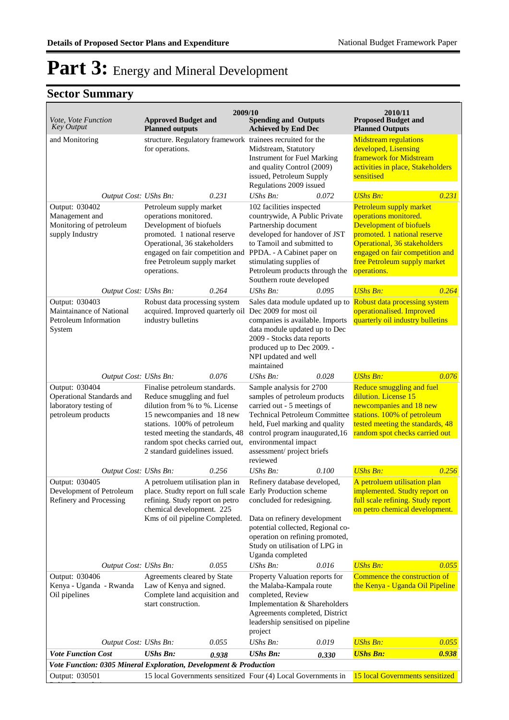| Vote, Vote Function<br><b>Key Output</b>                                                   | <b>Approved Budget and</b><br><b>Planned outputs</b>                                                                                                                                                                                                             | 2009/10 | <b>Spending and Outputs</b><br><b>Achieved by End Dec</b>                                                                                                                                                                                                                                                       |       | 2010/11<br><b>Proposed Budget and</b><br><b>Planned Outputs</b>                                                                                                                       |       |
|--------------------------------------------------------------------------------------------|------------------------------------------------------------------------------------------------------------------------------------------------------------------------------------------------------------------------------------------------------------------|---------|-----------------------------------------------------------------------------------------------------------------------------------------------------------------------------------------------------------------------------------------------------------------------------------------------------------------|-------|---------------------------------------------------------------------------------------------------------------------------------------------------------------------------------------|-------|
| and Monitoring                                                                             | structure. Regulatory framework trainees recruited for the<br>for operations.                                                                                                                                                                                    |         | Midstream, Statutory<br><b>Instrument for Fuel Marking</b><br>and quality Control (2009)<br>issued, Petroleum Supply<br>Regulations 2009 issued                                                                                                                                                                 |       | <b>Midstream regulations</b><br>developed, Lisensing<br>framework for Midstream<br>activities in place, Stakeholders<br>sensitised                                                    |       |
| Output Cost: UShs Bn:                                                                      |                                                                                                                                                                                                                                                                  | 0.231   | UShs Bn:                                                                                                                                                                                                                                                                                                        | 0.072 | <b>UShs Bn:</b>                                                                                                                                                                       | 0.231 |
| Output: 030402<br>Management and<br>Monitoring of petroleum<br>supply Industry             | Petroleum supply market<br>operations monitored.<br>Development of biofuels<br>promoted. 1 national reserve<br>Operational, 36 stakeholders<br>engaged on fair competition and<br>free Petroleum supply market<br>operations.                                    |         | 102 facilities inspected<br>operations monitored.<br>countrywide, A Public Private<br>Partnership document<br>developed for handover of JST<br>to Tamoil and submitted to<br>PPDA. - A Cabinet paper on<br>stimulating supplies of<br>Petroleum products through the<br>operations.<br>Southern route developed |       | Petroleum supply market<br>Development of biofuels<br>promoted. 1 national reserve<br>Operational, 36 stakeholders<br>engaged on fair competition and<br>free Petroleum supply market |       |
| Output Cost: UShs Bn:                                                                      |                                                                                                                                                                                                                                                                  | 0.264   | UShs Bn:                                                                                                                                                                                                                                                                                                        | 0.095 | <b>UShs Bn:</b>                                                                                                                                                                       | 0.264 |
| Output: 030403<br>Maintainance of National<br>Petroleum Information<br>System              | Robust data processing system<br>acquired. Improved quarterly oil<br>industry bulletins                                                                                                                                                                          |         | Sales data module updated up to<br>Dec 2009 for most oil<br>companies is available. Imports<br>data module updated up to Dec<br>2009 - Stocks data reports<br>produced up to Dec 2009. -<br>NPI updated and well<br>maintained                                                                                  |       | Robust data processing system<br>operationalised. Improved<br>quarterly oil industry bulletins                                                                                        |       |
| Output Cost: UShs Bn:                                                                      |                                                                                                                                                                                                                                                                  | 0.076   | $UShs Bn$ :                                                                                                                                                                                                                                                                                                     | 0.028 | <b>UShs Bn:</b>                                                                                                                                                                       | 0.076 |
| Output: 030404<br>Operational Standards and<br>laboratory testing of<br>petroleum products | Finalise petroleum standards.<br>Reduce smuggling and fuel<br>dilution from % to %. License<br>15 newcompanies and 18 new<br>stations. 100% of petroleum<br>tested meeting the standards, 48<br>random spot checks carried out,<br>2 standard guidelines issued. |         | Sample analysis for 2700<br>samples of petroleum products<br>carried out - 5 meetings of<br><b>Technical Petroleum Committee</b><br>held, Fuel marking and quality<br>control program inaugurated, 16<br>environmental impact<br>assessment/project briefs<br>reviewed                                          |       | Reduce smuggling and fuel<br>dilution. License 15<br>newcompanies and 18 new<br>stations. 100% of petroleum<br>tested meeting the standards, 48<br>random spot checks carried out     |       |
| Output Cost: UShs Bn:                                                                      |                                                                                                                                                                                                                                                                  | 0.256   | $UShs Bn$ :                                                                                                                                                                                                                                                                                                     | 0.100 | <b>UShs Bn:</b>                                                                                                                                                                       | 0.256 |
| Output: 030405<br>Development of Petroleum<br>Refinery and Processing                      | A petroluem utilisation plan in<br>refining. Study report on petro<br>chemical development. 225<br>Kms of oil pipeline Completed.                                                                                                                                |         | Refinery database developed,<br>place. Studty report on full scale Early Production scheme<br>concluded for redesigning.<br>Data on refinery development<br>potential collected, Regional co-<br>operation on refining promoted,<br>Study on utilisation of LPG in<br>Uganda completed                          |       | A petroluem utilisation plan<br>implemented. Studty report on<br>full scale refining. Study report<br>on petro chemical development.                                                  |       |
| Output Cost: UShs Bn:                                                                      |                                                                                                                                                                                                                                                                  | 0.055   | UShs Bn:                                                                                                                                                                                                                                                                                                        | 0.016 | <b>UShs Bn:</b>                                                                                                                                                                       | 0.055 |
| Output: 030406<br>Kenya - Uganda - Rwanda<br>Oil pipelines                                 | Agreements cleared by State<br>Law of Kenya and signed.<br>Complete land acquisition and<br>start construction.                                                                                                                                                  |         | Property Valuation reports for<br>the Malaba-Kampala route<br>completed, Review<br>Implementation & Shareholders<br>Agreements completed, District<br>leadership sensitised on pipeline<br>project                                                                                                              |       | Commence the construction of<br>the Kenya - Uganda Oil Pipeline                                                                                                                       |       |
| Output Cost: UShs Bn:                                                                      |                                                                                                                                                                                                                                                                  | 0.055   | UShs Bn:                                                                                                                                                                                                                                                                                                        | 0.019 | <b>UShs Bn:</b>                                                                                                                                                                       | 0.055 |
| <b>Vote Function Cost</b>                                                                  | <b>UShs Bn:</b>                                                                                                                                                                                                                                                  | 0.938   | <b>UShs Bn:</b>                                                                                                                                                                                                                                                                                                 | 0.330 | <b>UShs Bn:</b>                                                                                                                                                                       | 0.938 |
| Vote Function: 0305 Mineral Exploration, Development & Production                          |                                                                                                                                                                                                                                                                  |         |                                                                                                                                                                                                                                                                                                                 |       |                                                                                                                                                                                       |       |
| Output: 030501                                                                             |                                                                                                                                                                                                                                                                  |         | 15 local Governments sensitized Four (4) Local Governments in                                                                                                                                                                                                                                                   |       | 15 local Governments sensitized                                                                                                                                                       |       |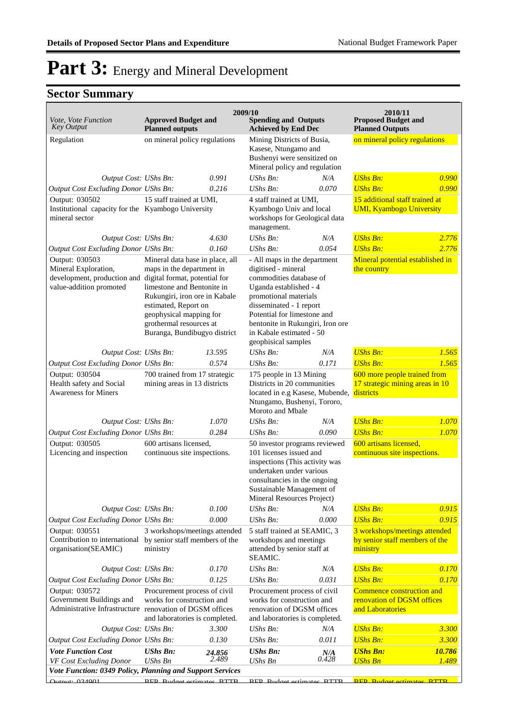| Vote, Vote Function<br><b>Key Output</b>                                                                                       | <b>Approved Budget and</b><br><b>Planned outputs</b>                                                                                                                                                                                      | 2009/10         | <b>Spending and Outputs</b><br><b>Achieved by End Dec</b>                                                                                                                                                                                                                          |              | 2010/11<br><b>Proposed Budget and</b><br><b>Planned Outputs</b>                                |                 |
|--------------------------------------------------------------------------------------------------------------------------------|-------------------------------------------------------------------------------------------------------------------------------------------------------------------------------------------------------------------------------------------|-----------------|------------------------------------------------------------------------------------------------------------------------------------------------------------------------------------------------------------------------------------------------------------------------------------|--------------|------------------------------------------------------------------------------------------------|-----------------|
| Regulation                                                                                                                     | on mineral policy regulations                                                                                                                                                                                                             |                 | Mining Districts of Busia,<br>Kasese, Ntungamo and                                                                                                                                                                                                                                 |              | on mineral policy regulations                                                                  |                 |
|                                                                                                                                |                                                                                                                                                                                                                                           |                 | Bushenyi were sensitized on<br>Mineral policy and regulation                                                                                                                                                                                                                       |              |                                                                                                |                 |
| Output Cost: UShs Bn:                                                                                                          |                                                                                                                                                                                                                                           | 0.991<br>0.216  | $UShs Bn$ :                                                                                                                                                                                                                                                                        | N/A<br>0.070 | <b>UShs Bn:</b>                                                                                | 0.990<br>0.990  |
| Output Cost Excluding Donor UShs Bn:<br>Output: 030502                                                                         | 15 staff trained at UMI,                                                                                                                                                                                                                  |                 | $UShs Bn$ :<br>4 staff trained at UMI,                                                                                                                                                                                                                                             |              | <b>UShs Bn:</b>                                                                                |                 |
| Institutional capacity for the Kyambogo University<br>mineral sector                                                           |                                                                                                                                                                                                                                           |                 | Kyambogo Univ and local<br>workshops for Geological data<br>management.                                                                                                                                                                                                            |              | 15 additional staff trained at<br><b>UMI, Kyambogo University</b>                              |                 |
| Output Cost: UShs Bn:                                                                                                          |                                                                                                                                                                                                                                           | 4.630           | UShs Bn:                                                                                                                                                                                                                                                                           | N/A          | <b>UShs Bn:</b>                                                                                | 2.776           |
| Output Cost Excluding Donor UShs Bn:                                                                                           |                                                                                                                                                                                                                                           | 0.160           | $UShs Bn$ :                                                                                                                                                                                                                                                                        | 0.054        | <b>UShs Bn:</b>                                                                                | 2.776           |
| Output: 030503<br>Mineral Exploration,<br>development, production and digital format, potential for<br>value-addition promoted | Mineral data base in place, all<br>maps in the department in<br>limestone and Bentonite in<br>Rukungiri, iron ore in Kabale<br>estimated, Report on<br>geophysical mapping for<br>grothermal resources at<br>Buranga, Bundibugyo district |                 | - All maps in the department<br>digitised - mineral<br>commodities database of<br>Uganda established - 4<br>promotional materials<br>disseminated - 1 report<br>Potential for limestone and<br>bentonite in Rukungiri, Iron ore<br>in Kabale estimated - 50<br>geophisical samples |              | Mineral potential established in<br>the country                                                |                 |
| Output Cost: UShs Bn:                                                                                                          |                                                                                                                                                                                                                                           | 13.595          | $UShs Bn$ :                                                                                                                                                                                                                                                                        | N/A          | <b>UShs Bn:</b>                                                                                | 1.565           |
| Output Cost Excluding Donor UShs Bn:                                                                                           |                                                                                                                                                                                                                                           | 0.574           | UShs Bn:                                                                                                                                                                                                                                                                           | 0.171        | <b>UShs Bn:</b>                                                                                | 1.565           |
| Output: 030504<br>Health safety and Social<br><b>Awareness for Miners</b>                                                      | 700 trained from 17 strategic<br>mining areas in 13 districts                                                                                                                                                                             |                 | 175 people in 13 Mining<br>Districts in 20 communities<br>located in e.g Kasese, Mubende,<br>Ntungamo, Bushenyi, Tororo,<br>Moroto and Mbale                                                                                                                                       |              | 600 more people trained from<br>17 strategic mining areas in 10<br>districts                   |                 |
| Output Cost: UShs Bn:                                                                                                          |                                                                                                                                                                                                                                           | 1.070           | $UShs Bn$ :                                                                                                                                                                                                                                                                        | N/A          | <b>UShs Bn:</b>                                                                                | 1.070           |
| Output Cost Excluding Donor UShs Bn:                                                                                           |                                                                                                                                                                                                                                           | 0.284           | UShs Bn:                                                                                                                                                                                                                                                                           | 0.090        | <b>UShs Bn:</b>                                                                                | 1.070           |
| Output: 030505<br>Licencing and inspection                                                                                     | 600 artisans licensed,<br>continuous site inspections.                                                                                                                                                                                    |                 | 50 investor programs reviewed<br>101 licenses issued and<br>inspections (This activity was<br>undertaken under various<br>consultancies in the ongoing<br>Sustainable Management of<br>Mineral Resources Project)                                                                  |              | 600 artisans licensed,<br>continuous site inspections.                                         |                 |
| Output Cost: UShs Bn:                                                                                                          |                                                                                                                                                                                                                                           | 0.100           | $UShs Bn$ :                                                                                                                                                                                                                                                                        | N/A          | <b>UShs Bn:</b>                                                                                | 0.915           |
| Output Cost Excluding Donor UShs Bn:<br>Output: 030551<br>Contribution to international<br>organisation(SEAMIC)                | 0.000<br>3 workshops/meetings attended<br>by senior staff members of the<br>ministry                                                                                                                                                      |                 | UShs Bn:<br>0.000<br>5 staff trained at SEAMIC, 3<br>workshops and meetings<br>attended by senior staff at<br>SEAMIC.                                                                                                                                                              |              | <b>UShs Bn:</b><br>3 workshops/meetings attended<br>by senior staff members of the<br>ministry | 0.915           |
| Output Cost: UShs Bn:                                                                                                          |                                                                                                                                                                                                                                           | 0.170           | UShs Bn:                                                                                                                                                                                                                                                                           | N/A          | <b>UShs Bn:</b>                                                                                | 0.170           |
| <b>Output Cost Excluding Donor UShs Bn:</b>                                                                                    |                                                                                                                                                                                                                                           | 0.125           | UShs Bn:                                                                                                                                                                                                                                                                           | 0.031        | <b>UShs Bn:</b>                                                                                | 0.170           |
| Output: 030572<br>Government Buildings and<br>Administrative Infrastructure renovation of DGSM offices                         | Procurement process of civil<br>works for construction and<br>and laboratories is completed.                                                                                                                                              |                 | Procurement process of civil<br>works for construction and<br>renovation of DGSM offices<br>and laboratories is completed.                                                                                                                                                         |              | Commence construction and<br>renovation of DGSM offices<br>and Laboratories                    |                 |
| Output Cost: UShs Bn:                                                                                                          |                                                                                                                                                                                                                                           | 3.300           | UShs Bn:                                                                                                                                                                                                                                                                           | N/A          | <b>UShs Bn:</b>                                                                                | 3.300           |
| <b>Output Cost Excluding Donor UShs Bn:</b>                                                                                    |                                                                                                                                                                                                                                           | 0.130           | UShs Bn:                                                                                                                                                                                                                                                                           | 0.011        | <b>UShs Bn:</b>                                                                                | 3.300           |
| <b>Vote Function Cost</b><br>VF Cost Excluding Donor                                                                           | <b>UShs Bn:</b><br><b>UShs Bn</b>                                                                                                                                                                                                         | 24.856<br>2.489 | <b>UShs Bn:</b><br>UShs Bn                                                                                                                                                                                                                                                         | N/A<br>0.428 | <b>UShs Bn:</b><br><b>UShs Bn</b>                                                              | 10.786<br>1.489 |
| Vote Function: 0349 Policy, Planning and Support Services                                                                      |                                                                                                                                                                                                                                           |                 |                                                                                                                                                                                                                                                                                    |              |                                                                                                |                 |
| Qutput: 03/1001                                                                                                                | RED Rudget ectimates RTTR                                                                                                                                                                                                                 |                 | RED Rudget estimates RTTR                                                                                                                                                                                                                                                          |              | <b>REP</b> Rudget estimates RTTR                                                               |                 |